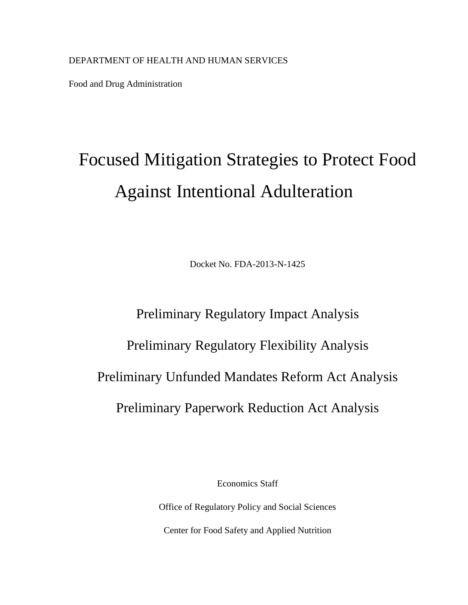Food and Drug Administration

## Focused Mitigation Strategies to Protect Food Against Intentional Adulteration

Docket No. FDA-2013-N-1425

# Preliminary Regulatory Impact Analysis Preliminary Regulatory Flexibility Analysis Preliminary Unfunded Mandates Reform Act Analysis Preliminary Paperwork Reduction Act Analysis

Economics Staff

Office of Regulatory Policy and Social Sciences Center for Food Safety and Applied Nutrition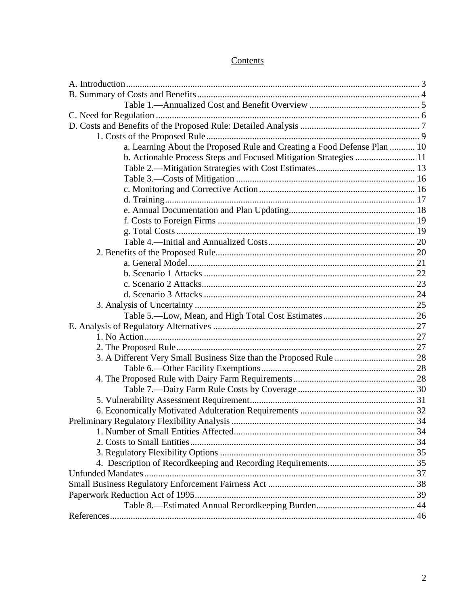## Contents

| a. Learning About the Proposed Rule and Creating a Food Defense Plan  10 |  |
|--------------------------------------------------------------------------|--|
| b. Actionable Process Steps and Focused Mitigation Strategies  11        |  |
|                                                                          |  |
|                                                                          |  |
|                                                                          |  |
|                                                                          |  |
|                                                                          |  |
|                                                                          |  |
|                                                                          |  |
|                                                                          |  |
|                                                                          |  |
|                                                                          |  |
|                                                                          |  |
|                                                                          |  |
|                                                                          |  |
|                                                                          |  |
|                                                                          |  |
|                                                                          |  |
|                                                                          |  |
|                                                                          |  |
|                                                                          |  |
|                                                                          |  |
|                                                                          |  |
|                                                                          |  |
|                                                                          |  |
|                                                                          |  |
|                                                                          |  |
|                                                                          |  |
|                                                                          |  |
|                                                                          |  |
|                                                                          |  |
|                                                                          |  |
|                                                                          |  |
|                                                                          |  |
|                                                                          |  |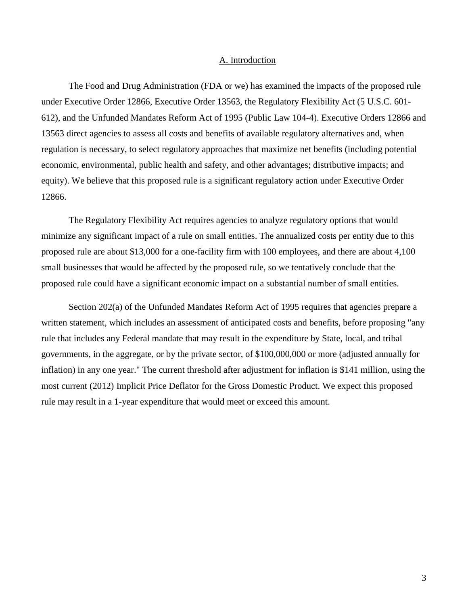#### A. Introduction

<span id="page-2-0"></span>The Food and Drug Administration (FDA or we) has examined the impacts of the proposed rule under Executive Order 12866, Executive Order 13563, the Regulatory Flexibility Act (5 U.S.C. 601- 612), and the Unfunded Mandates Reform Act of 1995 (Public Law 104-4). Executive Orders 12866 and 13563 direct agencies to assess all costs and benefits of available regulatory alternatives and, when regulation is necessary, to select regulatory approaches that maximize net benefits (including potential economic, environmental, public health and safety, and other advantages; distributive impacts; and equity). We believe that this proposed rule is a significant regulatory action under Executive Order 12866.

The Regulatory Flexibility Act requires agencies to analyze regulatory options that would minimize any significant impact of a rule on small entities. The annualized costs per entity due to this proposed rule are about \$13,000 for a one-facility firm with 100 employees, and there are about 4,100 small businesses that would be affected by the proposed rule, so we tentatively conclude that the proposed rule could have a significant economic impact on a substantial number of small entities.

Section 202(a) of the Unfunded Mandates Reform Act of 1995 requires that agencies prepare a written statement, which includes an assessment of anticipated costs and benefits, before proposing "any rule that includes any Federal mandate that may result in the expenditure by State, local, and tribal governments, in the aggregate, or by the private sector, of \$100,000,000 or more (adjusted annually for inflation) in any one year." The current threshold after adjustment for inflation is \$141 million, using the most current (2012) Implicit Price Deflator for the Gross Domestic Product. We expect this proposed rule may result in a 1-year expenditure that would meet or exceed this amount.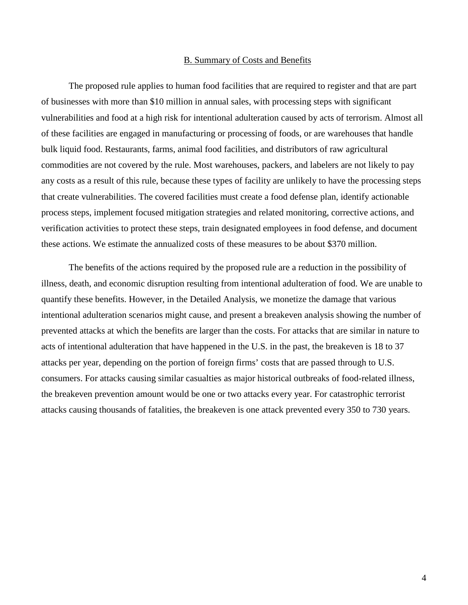#### B. Summary of Costs and Benefits

<span id="page-3-0"></span>The proposed rule applies to human food facilities that are required to register and that are part of businesses with more than \$10 million in annual sales, with processing steps with significant vulnerabilities and food at a high risk for intentional adulteration caused by acts of terrorism. Almost all of these facilities are engaged in manufacturing or processing of foods, or are warehouses that handle bulk liquid food. Restaurants, farms, animal food facilities, and distributors of raw agricultural commodities are not covered by the rule. Most warehouses, packers, and labelers are not likely to pay any costs as a result of this rule, because these types of facility are unlikely to have the processing steps that create vulnerabilities. The covered facilities must create a food defense plan, identify actionable process steps, implement focused mitigation strategies and related monitoring, corrective actions, and verification activities to protect these steps, train designated employees in food defense, and document these actions. We estimate the annualized costs of these measures to be about \$370 million.

The benefits of the actions required by the proposed rule are a reduction in the possibility of illness, death, and economic disruption resulting from intentional adulteration of food. We are unable to quantify these benefits. However, in the Detailed Analysis, we monetize the damage that various intentional adulteration scenarios might cause, and present a breakeven analysis showing the number of prevented attacks at which the benefits are larger than the costs. For attacks that are similar in nature to acts of intentional adulteration that have happened in the U.S. in the past, the breakeven is 18 to 37 attacks per year, depending on the portion of foreign firms' costs that are passed through to U.S. consumers. For attacks causing similar casualties as major historical outbreaks of food-related illness, the breakeven prevention amount would be one or two attacks every year. For catastrophic terrorist attacks causing thousands of fatalities, the breakeven is one attack prevented every 350 to 730 years.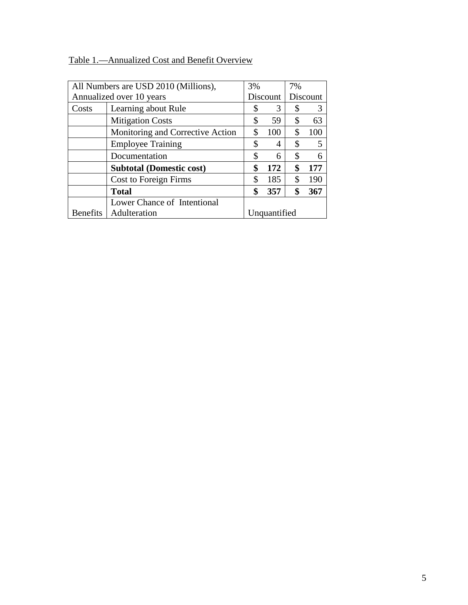## <span id="page-4-0"></span>Table 1.—Annualized Cost and Benefit Overview

|                                 | All Numbers are USD 2010 (Millions), | 3% |              | 7% |          |
|---------------------------------|--------------------------------------|----|--------------|----|----------|
|                                 | Annualized over 10 years             |    |              |    | Discount |
| Costs                           | Learning about Rule                  | \$ | 3            | \$ | 3        |
|                                 | <b>Mitigation Costs</b>              | \$ | 59           | \$ | 63       |
|                                 | Monitoring and Corrective Action     | S  | 100          | \$ | 100      |
|                                 | <b>Employee Training</b>             | \$ | 4            | \$ | 5        |
|                                 | Documentation                        | \$ | 6            | \$ | 6        |
|                                 | <b>Subtotal (Domestic cost)</b>      | \$ | 172          | \$ | 177      |
|                                 | Cost to Foreign Firms                | \$ | 185          | \$ | 190      |
|                                 | <b>Total</b>                         | \$ | 357          | \$ | 367      |
|                                 | Lower Chance of Intentional          |    |              |    |          |
| Adulteration<br><b>Benefits</b> |                                      |    | Unquantified |    |          |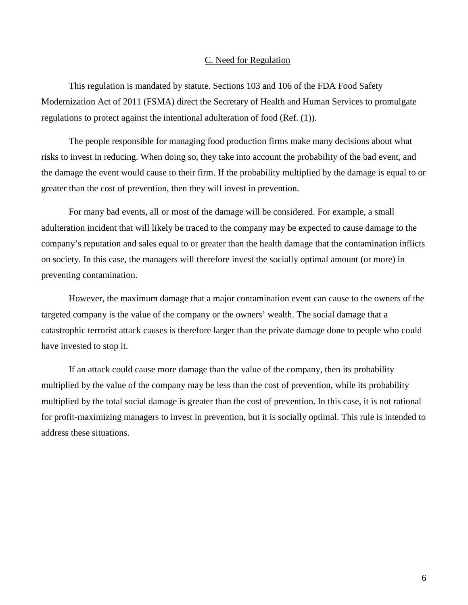#### C. Need for Regulation

<span id="page-5-0"></span>This regulation is mandated by statute. Sections 103 and 106 of the FDA Food Safety Modernization Act of 2011 (FSMA) direct the Secretary of Health and Human Services to promulgate regulations to protect against the intentional adulteration of food (Ref. (1)).

The people responsible for managing food production firms make many decisions about what risks to invest in reducing. When doing so, they take into account the probability of the bad event, and the damage the event would cause to their firm. If the probability multiplied by the damage is equal to or greater than the cost of prevention, then they will invest in prevention.

For many bad events, all or most of the damage will be considered. For example, a small adulteration incident that will likely be traced to the company may be expected to cause damage to the company's reputation and sales equal to or greater than the health damage that the contamination inflicts on society. In this case, the managers will therefore invest the socially optimal amount (or more) in preventing contamination.

However, the maximum damage that a major contamination event can cause to the owners of the targeted company is the value of the company or the owners' wealth. The social damage that a catastrophic terrorist attack causes is therefore larger than the private damage done to people who could have invested to stop it.

If an attack could cause more damage than the value of the company, then its probability multiplied by the value of the company may be less than the cost of prevention, while its probability multiplied by the total social damage is greater than the cost of prevention. In this case, it is not rational for profit-maximizing managers to invest in prevention, but it is socially optimal. This rule is intended to address these situations.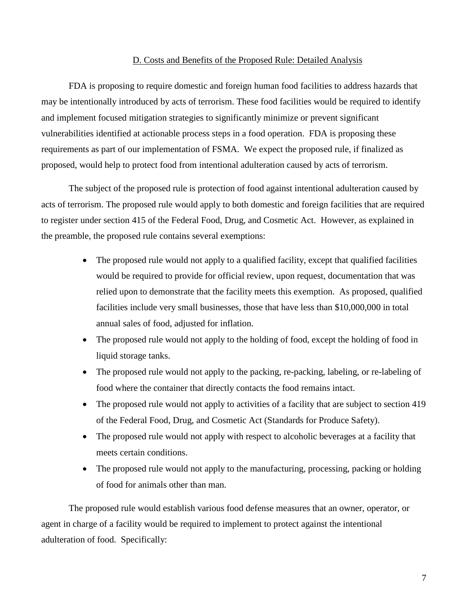#### D. Costs and Benefits of the Proposed Rule: Detailed Analysis

<span id="page-6-0"></span>FDA is proposing to require domestic and foreign human food facilities to address hazards that may be intentionally introduced by acts of terrorism. These food facilities would be required to identify and implement focused mitigation strategies to significantly minimize or prevent significant vulnerabilities identified at actionable process steps in a food operation. FDA is proposing these requirements as part of our implementation of FSMA. We expect the proposed rule, if finalized as proposed, would help to protect food from intentional adulteration caused by acts of terrorism.

The subject of the proposed rule is protection of food against intentional adulteration caused by acts of terrorism. The proposed rule would apply to both domestic and foreign facilities that are required to register under section 415 of the Federal Food, Drug, and Cosmetic Act. However, as explained in the preamble, the proposed rule contains several exemptions:

- The proposed rule would not apply to a qualified facility, except that qualified facilities would be required to provide for official review, upon request, documentation that was relied upon to demonstrate that the facility meets this exemption. As proposed, qualified facilities include very small businesses, those that have less than \$10,000,000 in total annual sales of food, adjusted for inflation.
- The proposed rule would not apply to the holding of food, except the holding of food in liquid storage tanks.
- The proposed rule would not apply to the packing, re-packing, labeling, or re-labeling of food where the container that directly contacts the food remains intact.
- The proposed rule would not apply to activities of a facility that are subject to section 419 of the Federal Food, Drug, and Cosmetic Act (Standards for Produce Safety).
- The proposed rule would not apply with respect to alcoholic beverages at a facility that meets certain conditions.
- The proposed rule would not apply to the manufacturing, processing, packing or holding of food for animals other than man.

The proposed rule would establish various food defense measures that an owner, operator, or agent in charge of a facility would be required to implement to protect against the intentional adulteration of food. Specifically: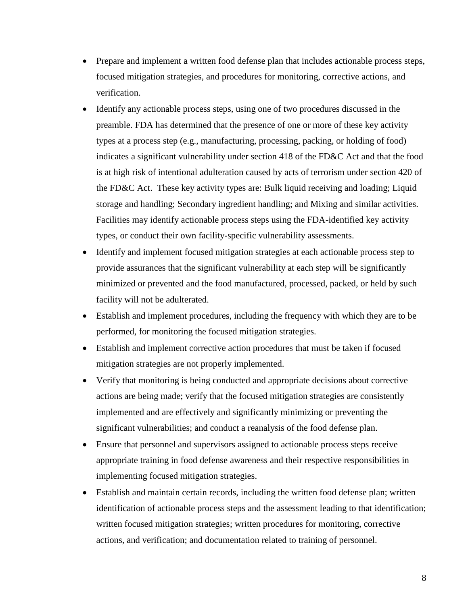- Prepare and implement a written food defense plan that includes actionable process steps, focused mitigation strategies, and procedures for monitoring, corrective actions, and verification.
- Identify any actionable process steps, using one of two procedures discussed in the preamble. FDA has determined that the presence of one or more of these key activity types at a process step (e.g., manufacturing, processing, packing, or holding of food) indicates a significant vulnerability under section 418 of the FD&C Act and that the food is at high risk of intentional adulteration caused by acts of terrorism under section 420 of the FD&C Act. These key activity types are: Bulk liquid receiving and loading; Liquid storage and handling; Secondary ingredient handling; and Mixing and similar activities. Facilities may identify actionable process steps using the FDA-identified key activity types, or conduct their own facility-specific vulnerability assessments.
- Identify and implement focused mitigation strategies at each actionable process step to provide assurances that the significant vulnerability at each step will be significantly minimized or prevented and the food manufactured, processed, packed, or held by such facility will not be adulterated.
- Establish and implement procedures, including the frequency with which they are to be performed, for monitoring the focused mitigation strategies.
- Establish and implement corrective action procedures that must be taken if focused mitigation strategies are not properly implemented.
- Verify that monitoring is being conducted and appropriate decisions about corrective actions are being made; verify that the focused mitigation strategies are consistently implemented and are effectively and significantly minimizing or preventing the significant vulnerabilities; and conduct a reanalysis of the food defense plan.
- Ensure that personnel and supervisors assigned to actionable process steps receive appropriate training in food defense awareness and their respective responsibilities in implementing focused mitigation strategies.
- Establish and maintain certain records, including the written food defense plan; written identification of actionable process steps and the assessment leading to that identification; written focused mitigation strategies; written procedures for monitoring, corrective actions, and verification; and documentation related to training of personnel.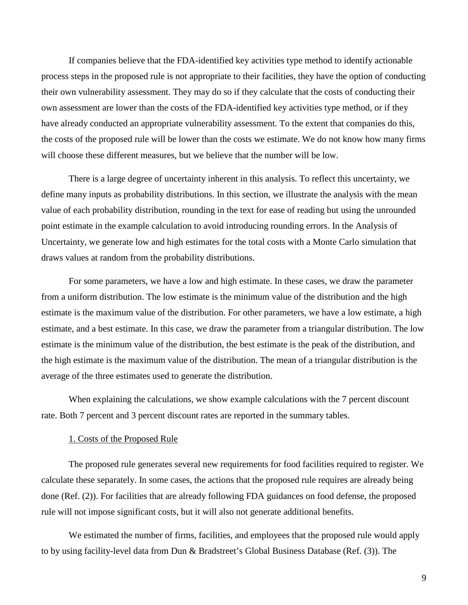If companies believe that the FDA-identified key activities type method to identify actionable process steps in the proposed rule is not appropriate to their facilities, they have the option of conducting their own vulnerability assessment. They may do so if they calculate that the costs of conducting their own assessment are lower than the costs of the FDA-identified key activities type method, or if they have already conducted an appropriate vulnerability assessment. To the extent that companies do this, the costs of the proposed rule will be lower than the costs we estimate. We do not know how many firms will choose these different measures, but we believe that the number will be low.

There is a large degree of uncertainty inherent in this analysis. To reflect this uncertainty, we define many inputs as probability distributions. In this section, we illustrate the analysis with the mean value of each probability distribution, rounding in the text for ease of reading but using the unrounded point estimate in the example calculation to avoid introducing rounding errors. In the Analysis of Uncertainty, we generate low and high estimates for the total costs with a Monte Carlo simulation that draws values at random from the probability distributions.

For some parameters, we have a low and high estimate. In these cases, we draw the parameter from a uniform distribution. The low estimate is the minimum value of the distribution and the high estimate is the maximum value of the distribution. For other parameters, we have a low estimate, a high estimate, and a best estimate. In this case, we draw the parameter from a triangular distribution. The low estimate is the minimum value of the distribution, the best estimate is the peak of the distribution, and the high estimate is the maximum value of the distribution. The mean of a triangular distribution is the average of the three estimates used to generate the distribution.

When explaining the calculations, we show example calculations with the 7 percent discount rate. Both 7 percent and 3 percent discount rates are reported in the summary tables.

#### <span id="page-8-0"></span>1. Costs of the Proposed Rule

The proposed rule generates several new requirements for food facilities required to register. We calculate these separately. In some cases, the actions that the proposed rule requires are already being done (Ref. (2)). For facilities that are already following FDA guidances on food defense, the proposed rule will not impose significant costs, but it will also not generate additional benefits.

We estimated the number of firms, facilities, and employees that the proposed rule would apply to by using facility-level data from Dun & Bradstreet's Global Business Database (Ref. (3)). The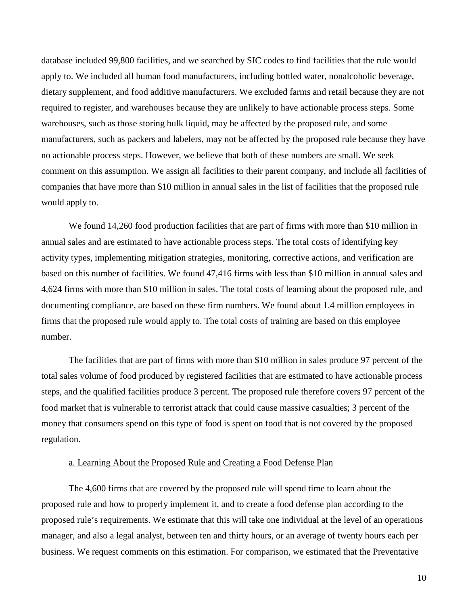database included 99,800 facilities, and we searched by SIC codes to find facilities that the rule would apply to. We included all human food manufacturers, including bottled water, nonalcoholic beverage, dietary supplement, and food additive manufacturers. We excluded farms and retail because they are not required to register, and warehouses because they are unlikely to have actionable process steps. Some warehouses, such as those storing bulk liquid, may be affected by the proposed rule, and some manufacturers, such as packers and labelers, may not be affected by the proposed rule because they have no actionable process steps. However, we believe that both of these numbers are small. We seek comment on this assumption. We assign all facilities to their parent company, and include all facilities of companies that have more than \$10 million in annual sales in the list of facilities that the proposed rule would apply to.

We found 14,260 food production facilities that are part of firms with more than \$10 million in annual sales and are estimated to have actionable process steps. The total costs of identifying key activity types, implementing mitigation strategies, monitoring, corrective actions, and verification are based on this number of facilities. We found 47,416 firms with less than \$10 million in annual sales and 4,624 firms with more than \$10 million in sales. The total costs of learning about the proposed rule, and documenting compliance, are based on these firm numbers. We found about 1.4 million employees in firms that the proposed rule would apply to. The total costs of training are based on this employee number.

The facilities that are part of firms with more than \$10 million in sales produce 97 percent of the total sales volume of food produced by registered facilities that are estimated to have actionable process steps, and the qualified facilities produce 3 percent. The proposed rule therefore covers 97 percent of the food market that is vulnerable to terrorist attack that could cause massive casualties; 3 percent of the money that consumers spend on this type of food is spent on food that is not covered by the proposed regulation.

#### a. Learning About the Proposed Rule and Creating a Food Defense Plan

<span id="page-9-0"></span>The 4,600 firms that are covered by the proposed rule will spend time to learn about the proposed rule and how to properly implement it, and to create a food defense plan according to the proposed rule's requirements. We estimate that this will take one individual at the level of an operations manager, and also a legal analyst, between ten and thirty hours, or an average of twenty hours each per business. We request comments on this estimation. For comparison, we estimated that the Preventative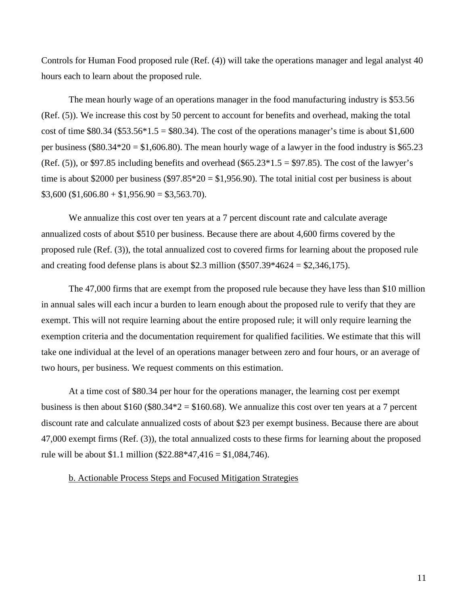Controls for Human Food proposed rule (Ref. (4)) will take the operations manager and legal analyst 40 hours each to learn about the proposed rule.

The mean hourly wage of an operations manager in the food manufacturing industry is \$53.56 (Ref. (5)). We increase this cost by 50 percent to account for benefits and overhead, making the total cost of time  $$80.34$  ( $$53.56*1.5 = $80.34$ ). The cost of the operations manager's time is about  $$1,600$ per business (\$80.34\*20 = \$1,606.80). The mean hourly wage of a lawyer in the food industry is \$65.23 (Ref. (5)), or \$97.85 including benefits and overhead (\$65.23 $*1.5 = $97.85$ ). The cost of the lawyer's time is about \$2000 per business (\$97.85  $*$  20 = \$1,956.90). The total initial cost per business is about  $$3,600 ($1,606.80 + $1,956.90 = $3,563.70).$ 

We annualize this cost over ten years at a 7 percent discount rate and calculate average annualized costs of about \$510 per business. Because there are about 4,600 firms covered by the proposed rule (Ref. (3)), the total annualized cost to covered firms for learning about the proposed rule and creating food defense plans is about \$2.3 million (\$507.39\*4624 = \$2,346,175).

The 47,000 firms that are exempt from the proposed rule because they have less than \$10 million in annual sales will each incur a burden to learn enough about the proposed rule to verify that they are exempt. This will not require learning about the entire proposed rule; it will only require learning the exemption criteria and the documentation requirement for qualified facilities. We estimate that this will take one individual at the level of an operations manager between zero and four hours, or an average of two hours, per business. We request comments on this estimation.

At a time cost of \$80.34 per hour for the operations manager, the learning cost per exempt business is then about \$160 (\$80.34\*2 = \$160.68). We annualize this cost over ten years at a 7 percent discount rate and calculate annualized costs of about \$23 per exempt business. Because there are about 47,000 exempt firms (Ref. (3)), the total annualized costs to these firms for learning about the proposed rule will be about \$1.1 million (\$22.88\*47,416 = \$1,084,746).

#### <span id="page-10-0"></span>b. Actionable Process Steps and Focused Mitigation Strategies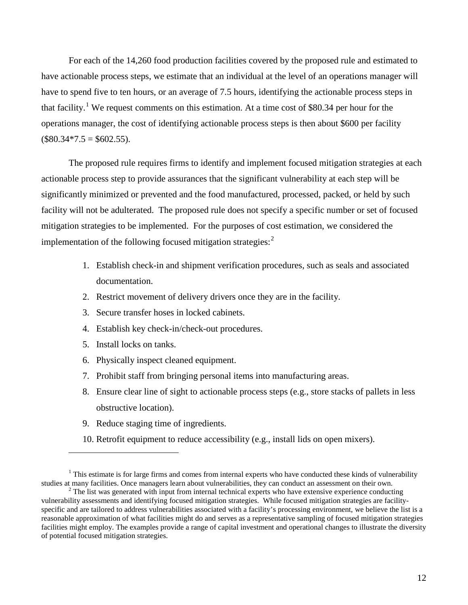For each of the 14,260 food production facilities covered by the proposed rule and estimated to have actionable process steps, we estimate that an individual at the level of an operations manager will have to spend five to ten hours, or an average of 7.5 hours, identifying the actionable process steps in that facility.<sup>[1](#page-11-0)</sup> We request comments on this estimation. At a time cost of \$80.34 per hour for the operations manager, the cost of identifying actionable process steps is then about \$600 per facility  $($80.34*7.5 = $602.55).$ 

The proposed rule requires firms to identify and implement focused mitigation strategies at each actionable process step to provide assurances that the significant vulnerability at each step will be significantly minimized or prevented and the food manufactured, processed, packed, or held by such facility will not be adulterated. The proposed rule does not specify a specific number or set of focused mitigation strategies to be implemented. For the purposes of cost estimation, we considered the implementation of the following focused mitigation strategies:<sup>[2](#page-11-1)</sup>

- 1. Establish check-in and shipment verification procedures, such as seals and associated documentation.
- 2. Restrict movement of delivery drivers once they are in the facility.
- 3. Secure transfer hoses in locked cabinets.
- 4. Establish key check-in/check-out procedures.
- 5. Install locks on tanks.

 $\overline{a}$ 

- 6. Physically inspect cleaned equipment.
- 7. Prohibit staff from bringing personal items into manufacturing areas.
- 8. Ensure clear line of sight to actionable process steps (e.g., store stacks of pallets in less obstructive location).
- 9. Reduce staging time of ingredients.
- 10. Retrofit equipment to reduce accessibility (e.g., install lids on open mixers).

<span id="page-11-0"></span> $1$  This estimate is for large firms and comes from internal experts who have conducted these kinds of vulnerability studies at many facilities. Once managers learn about vulnerabilities, they can conduct an assessment on

<span id="page-11-1"></span><sup>&</sup>lt;sup>2</sup> The list was generated with input from internal technical experts who have extensive experience conducting vulnerability assessments and identifying focused mitigation strategies. While focused mitigation strategies are facilityspecific and are tailored to address vulnerabilities associated with a facility's processing environment, we believe the list is a reasonable approximation of what facilities might do and serves as a representative sampling of focused mitigation strategies facilities might employ. The examples provide a range of capital investment and operational changes to illustrate the diversity of potential focused mitigation strategies.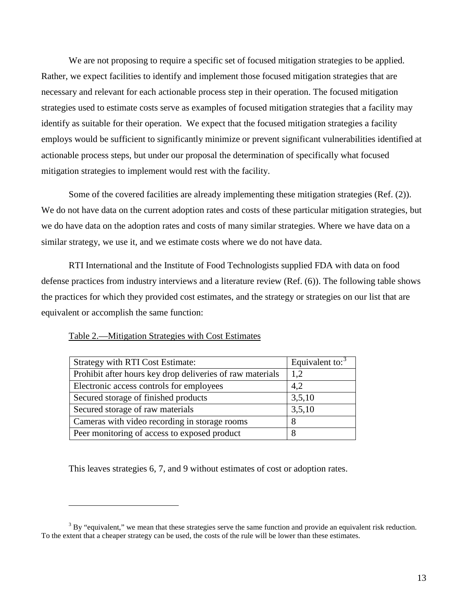We are not proposing to require a specific set of focused mitigation strategies to be applied. Rather, we expect facilities to identify and implement those focused mitigation strategies that are necessary and relevant for each actionable process step in their operation. The focused mitigation strategies used to estimate costs serve as examples of focused mitigation strategies that a facility may identify as suitable for their operation. We expect that the focused mitigation strategies a facility employs would be sufficient to significantly minimize or prevent significant vulnerabilities identified at actionable process steps, but under our proposal the determination of specifically what focused mitigation strategies to implement would rest with the facility.

Some of the covered facilities are already implementing these mitigation strategies (Ref. (2)). We do not have data on the current adoption rates and costs of these particular mitigation strategies, but we do have data on the adoption rates and costs of many similar strategies. Where we have data on a similar strategy, we use it, and we estimate costs where we do not have data.

RTI International and the Institute of Food Technologists supplied FDA with data on food defense practices from industry interviews and a literature review (Ref. (6)). The following table shows the practices for which they provided cost estimates, and the strategy or strategies on our list that are equivalent or accomplish the same function:

| <b>Strategy with RTI Cost Estimate:</b>                   | Equivalent to: $3$ |
|-----------------------------------------------------------|--------------------|
| Prohibit after hours key drop deliveries of raw materials | 1,2                |
| Electronic access controls for employees                  | 4,2                |
| Secured storage of finished products                      | 3,5,10             |
| Secured storage of raw materials                          | 3,5,10             |
| Cameras with video recording in storage rooms             | 8                  |
| Peer monitoring of access to exposed product              |                    |

#### <span id="page-12-0"></span>Table 2.—Mitigation Strategies with Cost Estimates

 $\overline{a}$ 

This leaves strategies 6, 7, and 9 without estimates of cost or adoption rates.

<span id="page-12-1"></span> $3$  By "equivalent," we mean that these strategies serve the same function and provide an equivalent risk reduction. To the extent that a cheaper strategy can be used, the costs of the rule will be lower than these estimates.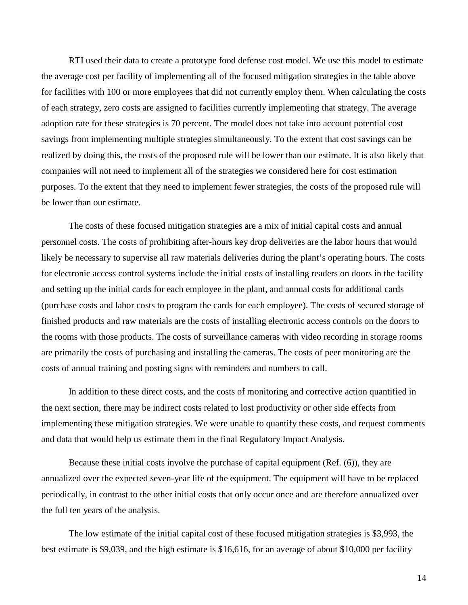RTI used their data to create a prototype food defense cost model. We use this model to estimate the average cost per facility of implementing all of the focused mitigation strategies in the table above for facilities with 100 or more employees that did not currently employ them. When calculating the costs of each strategy, zero costs are assigned to facilities currently implementing that strategy. The average adoption rate for these strategies is 70 percent. The model does not take into account potential cost savings from implementing multiple strategies simultaneously. To the extent that cost savings can be realized by doing this, the costs of the proposed rule will be lower than our estimate. It is also likely that companies will not need to implement all of the strategies we considered here for cost estimation purposes. To the extent that they need to implement fewer strategies, the costs of the proposed rule will be lower than our estimate.

The costs of these focused mitigation strategies are a mix of initial capital costs and annual personnel costs. The costs of prohibiting after-hours key drop deliveries are the labor hours that would likely be necessary to supervise all raw materials deliveries during the plant's operating hours. The costs for electronic access control systems include the initial costs of installing readers on doors in the facility and setting up the initial cards for each employee in the plant, and annual costs for additional cards (purchase costs and labor costs to program the cards for each employee). The costs of secured storage of finished products and raw materials are the costs of installing electronic access controls on the doors to the rooms with those products. The costs of surveillance cameras with video recording in storage rooms are primarily the costs of purchasing and installing the cameras. The costs of peer monitoring are the costs of annual training and posting signs with reminders and numbers to call.

In addition to these direct costs, and the costs of monitoring and corrective action quantified in the next section, there may be indirect costs related to lost productivity or other side effects from implementing these mitigation strategies. We were unable to quantify these costs, and request comments and data that would help us estimate them in the final Regulatory Impact Analysis.

Because these initial costs involve the purchase of capital equipment (Ref. (6)), they are annualized over the expected seven-year life of the equipment. The equipment will have to be replaced periodically, in contrast to the other initial costs that only occur once and are therefore annualized over the full ten years of the analysis.

The low estimate of the initial capital cost of these focused mitigation strategies is \$3,993, the best estimate is \$9,039, and the high estimate is \$16,616, for an average of about \$10,000 per facility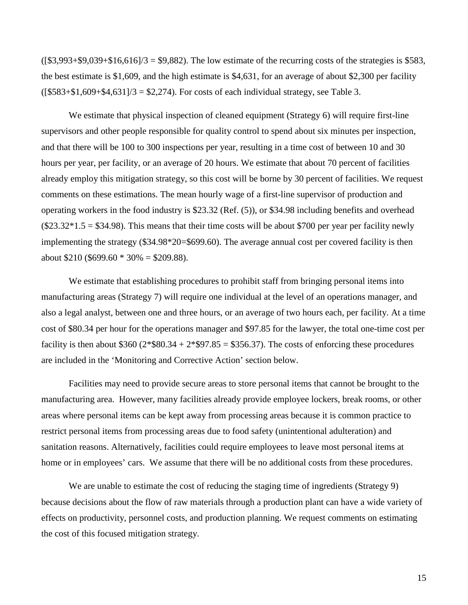$($ [\$3,993+\$9,039+\$16,616]/3 = \$9,882). The low estimate of the recurring costs of the strategies is \$583, the best estimate is \$1,609, and the high estimate is \$4,631, for an average of about \$2,300 per facility  $([\$583+\$1,609+\$4,631]/3 = \$2,274$ . For costs of each individual strategy, see Table 3.

We estimate that physical inspection of cleaned equipment (Strategy 6) will require first-line supervisors and other people responsible for quality control to spend about six minutes per inspection, and that there will be 100 to 300 inspections per year, resulting in a time cost of between 10 and 30 hours per year, per facility, or an average of 20 hours. We estimate that about 70 percent of facilities already employ this mitigation strategy, so this cost will be borne by 30 percent of facilities. We request comments on these estimations. The mean hourly wage of a first-line supervisor of production and operating workers in the food industry is \$23.32 (Ref. (5)), or \$34.98 including benefits and overhead  $($23.32*1.5 = $34.98)$ . This means that their time costs will be about \$700 per year per facility newly implementing the strategy (\$34.98\*20=\$699.60). The average annual cost per covered facility is then about  $$210 ($699.60 * 30\% = $209.88).$ 

We estimate that establishing procedures to prohibit staff from bringing personal items into manufacturing areas (Strategy 7) will require one individual at the level of an operations manager, and also a legal analyst, between one and three hours, or an average of two hours each, per facility. At a time cost of \$80.34 per hour for the operations manager and \$97.85 for the lawyer, the total one-time cost per facility is then about \$360 ( $2*$ \$80.34 +  $2*$ \$97.85 = \$356.37). The costs of enforcing these procedures are included in the 'Monitoring and Corrective Action' section below.

Facilities may need to provide secure areas to store personal items that cannot be brought to the manufacturing area. However, many facilities already provide employee lockers, break rooms, or other areas where personal items can be kept away from processing areas because it is common practice to restrict personal items from processing areas due to food safety (unintentional adulteration) and sanitation reasons. Alternatively, facilities could require employees to leave most personal items at home or in employees' cars. We assume that there will be no additional costs from these procedures.

We are unable to estimate the cost of reducing the staging time of ingredients (Strategy 9) because decisions about the flow of raw materials through a production plant can have a wide variety of effects on productivity, personnel costs, and production planning. We request comments on estimating the cost of this focused mitigation strategy.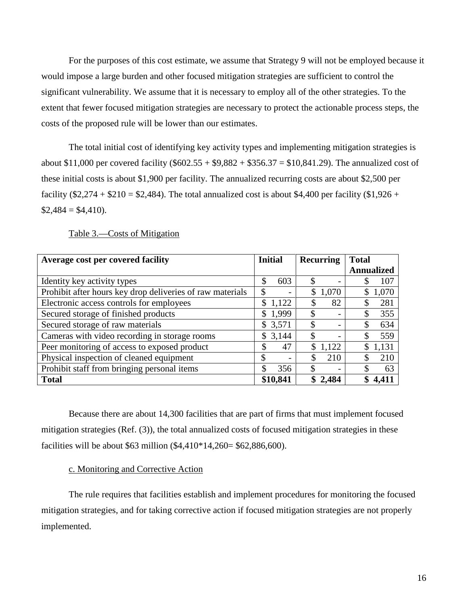For the purposes of this cost estimate, we assume that Strategy 9 will not be employed because it would impose a large burden and other focused mitigation strategies are sufficient to control the significant vulnerability. We assume that it is necessary to employ all of the other strategies. To the extent that fewer focused mitigation strategies are necessary to protect the actionable process steps, the costs of the proposed rule will be lower than our estimates.

The total initial cost of identifying key activity types and implementing mitigation strategies is about \$11,000 per covered facility  $(\$602.55 + \$9,882 + \$356.37 = \$10,841.29)$ . The annualized cost of these initial costs is about \$1,900 per facility. The annualized recurring costs are about \$2,500 per facility (\$2,274 + \$210 = \$2,484). The total annualized cost is about \$4,400 per facility (\$1,926 +  $$2,484 = $4,410$ .

<span id="page-15-0"></span>

| Average cost per covered facility                         | <b>Initial</b>                 | <b>Recurring</b>               | <b>Total</b>      |
|-----------------------------------------------------------|--------------------------------|--------------------------------|-------------------|
|                                                           |                                |                                | <b>Annualized</b> |
| Identity key activity types                               | \$<br>603                      | \$<br>$\qquad \qquad$          | 107               |
| Prohibit after hours key drop deliveries of raw materials | \$                             | \$<br>1,070                    | 1,070             |
| Electronic access controls for employees                  | \$1,122                        | 82<br>S                        | 281               |
| Secured storage of finished products                      | \$1,999                        | \$                             | 355<br>\$         |
| Secured storage of raw materials                          | \$3,571                        | \$                             | 634<br>\$         |
| Cameras with video recording in storage rooms             | \$3,144                        | $\overline{\phantom{0}}$       | 559<br>\$         |
| Peer monitoring of access to exposed product              | 47<br>\$                       | \$<br>1,122                    | 1,131             |
| Physical inspection of cleaned equipment                  | \$<br>$\overline{\phantom{0}}$ | 210                            | 210<br>S          |
| Prohibit staff from bringing personal items               | S.<br>356                      | ъ.<br>$\overline{\phantom{0}}$ | 63                |
| <b>Total</b>                                              | \$10,841                       | 2,484                          |                   |

Table 3.—Costs of Mitigation

Because there are about 14,300 facilities that are part of firms that must implement focused mitigation strategies (Ref. (3)), the total annualized costs of focused mitigation strategies in these facilities will be about \$63 million (\$4,410\*14,260= \$62,886,600).

#### c. Monitoring and Corrective Action

<span id="page-15-1"></span>The rule requires that facilities establish and implement procedures for monitoring the focused mitigation strategies, and for taking corrective action if focused mitigation strategies are not properly implemented.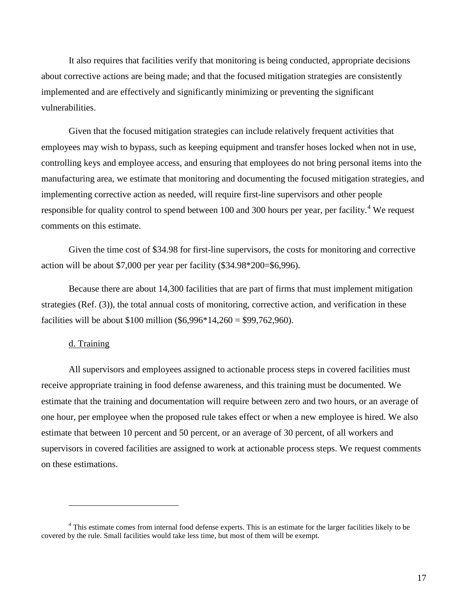It also requires that facilities verify that monitoring is being conducted, appropriate decisions about corrective actions are being made; and that the focused mitigation strategies are consistently implemented and are effectively and significantly minimizing or preventing the significant vulnerabilities.

Given that the focused mitigation strategies can include relatively frequent activities that employees may wish to bypass, such as keeping equipment and transfer hoses locked when not in use, controlling keys and employee access, and ensuring that employees do not bring personal items into the manufacturing area, we estimate that monitoring and documenting the focused mitigation strategies, and implementing corrective action as needed, will require first-line supervisors and other people responsible for quality control to spend between 100 and 300 hours per year, per facility.<sup>[4](#page-16-1)</sup> We request comments on this estimate.

Given the time cost of \$34.98 for first-line supervisors, the costs for monitoring and corrective action will be about \$7,000 per year per facility (\$34.98\*200=\$6,996).

Because there are about 14,300 facilities that are part of firms that must implement mitigation strategies (Ref. (3)), the total annual costs of monitoring, corrective action, and verification in these facilities will be about \$100 million  $(\$6,996*14,260 = \$99,762,960)$ .

#### d. Training

 $\overline{a}$ 

<span id="page-16-0"></span>All supervisors and employees assigned to actionable process steps in covered facilities must receive appropriate training in food defense awareness, and this training must be documented. We estimate that the training and documentation will require between zero and two hours, or an average of one hour, per employee when the proposed rule takes effect or when a new employee is hired. We also estimate that between 10 percent and 50 percent, or an average of 30 percent, of all workers and supervisors in covered facilities are assigned to work at actionable process steps. We request comments on these estimations.

<span id="page-16-1"></span> $4$  This estimate comes from internal food defense experts. This is an estimate for the larger facilities likely to be covered by the rule. Small facilities would take less time, but most of them will be exempt.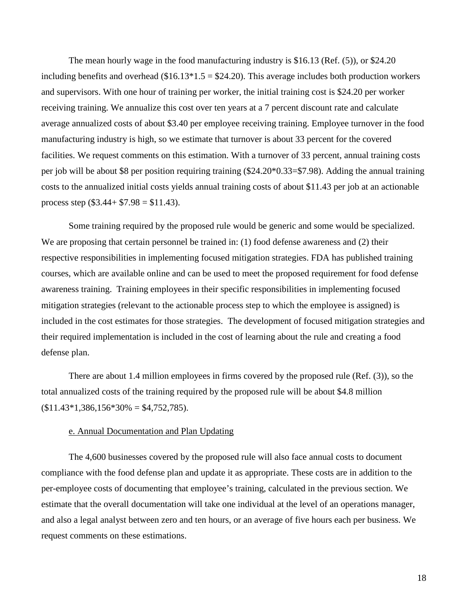The mean hourly wage in the food manufacturing industry is \$16.13 (Ref. (5)), or \$24.20 including benefits and overhead  $(\$16.13*1.5 = \$24.20)$ . This average includes both production workers and supervisors. With one hour of training per worker, the initial training cost is \$24.20 per worker receiving training. We annualize this cost over ten years at a 7 percent discount rate and calculate average annualized costs of about \$3.40 per employee receiving training. Employee turnover in the food manufacturing industry is high, so we estimate that turnover is about 33 percent for the covered facilities. We request comments on this estimation. With a turnover of 33 percent, annual training costs per job will be about \$8 per position requiring training (\$24.20\*0.33=\$7.98). Adding the annual training costs to the annualized initial costs yields annual training costs of about \$11.43 per job at an actionable process step  $(\$3.44 + \$7.98 = \$11.43)$ .

Some training required by the proposed rule would be generic and some would be specialized. We are proposing that certain personnel be trained in: (1) food defense awareness and (2) their respective responsibilities in implementing focused mitigation strategies. FDA has published training courses, which are available online and can be used to meet the proposed requirement for food defense awareness training. Training employees in their specific responsibilities in implementing focused mitigation strategies (relevant to the actionable process step to which the employee is assigned) is included in the cost estimates for those strategies. The development of focused mitigation strategies and their required implementation is included in the cost of learning about the rule and creating a food defense plan.

There are about 1.4 million employees in firms covered by the proposed rule (Ref. (3)), so the total annualized costs of the training required by the proposed rule will be about \$4.8 million  $$11.43*1,386,156*30\% = $4,752,785$ .

#### e. Annual Documentation and Plan Updating

<span id="page-17-0"></span>The 4,600 businesses covered by the proposed rule will also face annual costs to document compliance with the food defense plan and update it as appropriate. These costs are in addition to the per-employee costs of documenting that employee's training, calculated in the previous section. We estimate that the overall documentation will take one individual at the level of an operations manager, and also a legal analyst between zero and ten hours, or an average of five hours each per business. We request comments on these estimations.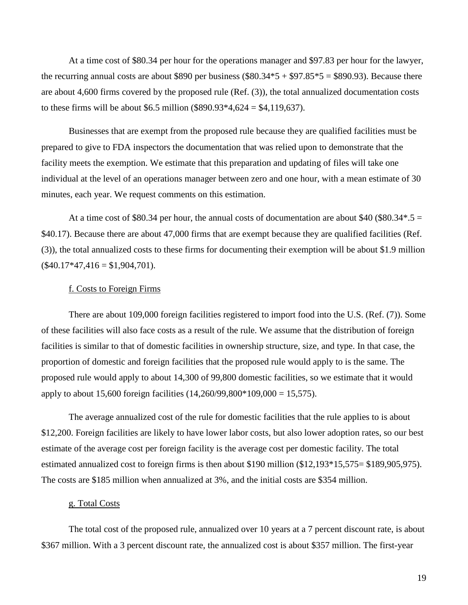At a time cost of \$80.34 per hour for the operations manager and \$97.83 per hour for the lawyer, the recurring annual costs are about \$890 per business  $(\$80.34*5 + \$97.85*5 = \$890.93)$ . Because there are about 4,600 firms covered by the proposed rule (Ref. (3)), the total annualized documentation costs to these firms will be about \$6.5 million (\$890.93 $*4,624 = $4,119,637$ ).

Businesses that are exempt from the proposed rule because they are qualified facilities must be prepared to give to FDA inspectors the documentation that was relied upon to demonstrate that the facility meets the exemption. We estimate that this preparation and updating of files will take one individual at the level of an operations manager between zero and one hour, with a mean estimate of 30 minutes, each year. We request comments on this estimation.

At a time cost of \$80.34 per hour, the annual costs of documentation are about \$40 (\$80.34 $*$ .5 = \$40.17). Because there are about 47,000 firms that are exempt because they are qualified facilities (Ref. (3)), the total annualized costs to these firms for documenting their exemption will be about \$1.9 million  $($40.17*47,416 = $1,904,701).$ 

#### f. Costs to Foreign Firms

<span id="page-18-0"></span>There are about 109,000 foreign facilities registered to import food into the U.S. (Ref. (7)). Some of these facilities will also face costs as a result of the rule. We assume that the distribution of foreign facilities is similar to that of domestic facilities in ownership structure, size, and type. In that case, the proportion of domestic and foreign facilities that the proposed rule would apply to is the same. The proposed rule would apply to about 14,300 of 99,800 domestic facilities, so we estimate that it would apply to about 15,600 foreign facilities (14,260/99,800\*109,000 = 15,575).

The average annualized cost of the rule for domestic facilities that the rule applies to is about \$12,200. Foreign facilities are likely to have lower labor costs, but also lower adoption rates, so our best estimate of the average cost per foreign facility is the average cost per domestic facility. The total estimated annualized cost to foreign firms is then about \$190 million (\$12,193\*15,575= \$189,905,975). The costs are \$185 million when annualized at 3%, and the initial costs are \$354 million.

#### g. Total Costs

<span id="page-18-1"></span>The total cost of the proposed rule, annualized over 10 years at a 7 percent discount rate, is about \$367 million. With a 3 percent discount rate, the annualized cost is about \$357 million. The first-year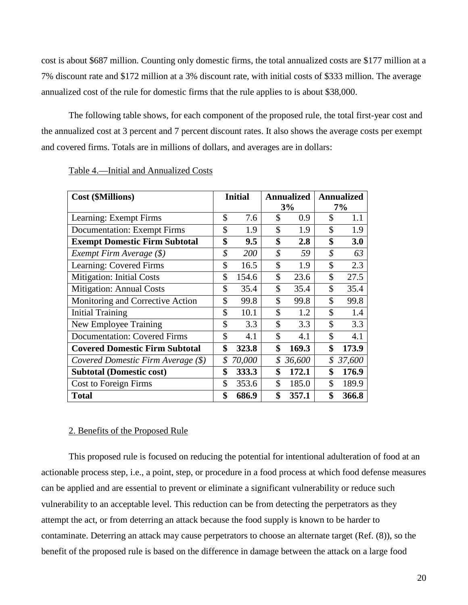cost is about \$687 million. Counting only domestic firms, the total annualized costs are \$177 million at a 7% discount rate and \$172 million at a 3% discount rate, with initial costs of \$333 million. The average annualized cost of the rule for domestic firms that the rule applies to is about \$38,000.

The following table shows, for each component of the proposed rule, the total first-year cost and the annualized cost at 3 percent and 7 percent discount rates. It also shows the average costs per exempt and covered firms. Totals are in millions of dollars, and averages are in dollars:

| <b>Cost (\$Millions)</b>              | <b>Initial</b> |        | <b>Annualized</b><br>3% | <b>Annualized</b><br>7% |        |
|---------------------------------------|----------------|--------|-------------------------|-------------------------|--------|
| Learning: Exempt Firms                | \$             | 7.6    | \$<br>0.9               | \$                      | 1.1    |
| <b>Documentation: Exempt Firms</b>    | \$             | 1.9    | \$<br>1.9               | \$                      | 1.9    |
|                                       | \$             |        | \$                      | \$                      |        |
| <b>Exempt Domestic Firm Subtotal</b>  |                | 9.5    | 2.8                     |                         | 3.0    |
| Exempt Firm Average $(\$)$            | \$             | 200    | \$<br>59                | \$                      | 63     |
| Learning: Covered Firms               | \$             | 16.5   | \$<br>1.9               | \$                      | 2.3    |
| <b>Mitigation: Initial Costs</b>      | \$             | 154.6  | \$<br>23.6              | \$                      | 27.5   |
| Mitigation: Annual Costs              | \$             | 35.4   | \$<br>35.4              | \$                      | 35.4   |
| Monitoring and Corrective Action      | \$             | 99.8   | \$<br>99.8              | \$                      | 99.8   |
| <b>Initial Training</b>               | \$             | 10.1   | \$<br>1.2               | \$                      | 1.4    |
| New Employee Training                 | \$             | 3.3    | \$<br>3.3               | \$                      | 3.3    |
| <b>Documentation: Covered Firms</b>   | \$             | 4.1    | \$<br>4.1               | \$                      | 4.1    |
| <b>Covered Domestic Firm Subtotal</b> | \$             | 323.8  | \$<br>169.3             | \$                      | 173.9  |
| Covered Domestic Firm Average (\$)    | \$             | 70,000 | \$<br>36,600            | \$                      | 37,600 |
| <b>Subtotal (Domestic cost)</b>       | \$             | 333.3  | \$<br>172.1             | \$                      | 176.9  |
| <b>Cost to Foreign Firms</b>          | \$             | 353.6  | \$<br>185.0             | \$                      | 189.9  |
| <b>Total</b>                          | \$             | 686.9  | \$<br>357.1             | \$                      | 366.8  |

#### <span id="page-19-0"></span>Table 4.—Initial and Annualized Costs

#### 2. Benefits of the Proposed Rule

<span id="page-19-1"></span>This proposed rule is focused on reducing the potential for intentional adulteration of food at an actionable process step, i.e., a point, step, or procedure in a food process at which food defense measures can be applied and are essential to prevent or eliminate a significant vulnerability or reduce such vulnerability to an acceptable level. This reduction can be from detecting the perpetrators as they attempt the act, or from deterring an attack because the food supply is known to be harder to contaminate. Deterring an attack may cause perpetrators to choose an alternate target (Ref. (8)), so the benefit of the proposed rule is based on the difference in damage between the attack on a large food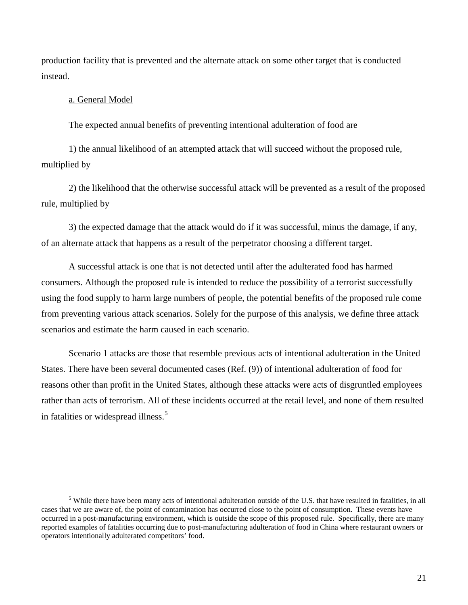production facility that is prevented and the alternate attack on some other target that is conducted instead.

#### <span id="page-20-0"></span>a. General Model

 $\overline{a}$ 

The expected annual benefits of preventing intentional adulteration of food are

1) the annual likelihood of an attempted attack that will succeed without the proposed rule, multiplied by

2) the likelihood that the otherwise successful attack will be prevented as a result of the proposed rule, multiplied by

3) the expected damage that the attack would do if it was successful, minus the damage, if any, of an alternate attack that happens as a result of the perpetrator choosing a different target.

A successful attack is one that is not detected until after the adulterated food has harmed consumers. Although the proposed rule is intended to reduce the possibility of a terrorist successfully using the food supply to harm large numbers of people, the potential benefits of the proposed rule come from preventing various attack scenarios. Solely for the purpose of this analysis, we define three attack scenarios and estimate the harm caused in each scenario.

Scenario 1 attacks are those that resemble previous acts of intentional adulteration in the United States. There have been several documented cases (Ref. (9)) of intentional adulteration of food for reasons other than profit in the United States, although these attacks were acts of disgruntled employees rather than acts of terrorism. All of these incidents occurred at the retail level, and none of them resulted in fatalities or widespread illness.<sup>[5](#page-20-1)</sup>

<span id="page-20-1"></span><sup>&</sup>lt;sup>5</sup> While there have been many acts of intentional adulteration outside of the U.S. that have resulted in fatalities, in all cases that we are aware of, the point of contamination has occurred close to the point of consumption. These events have occurred in a post-manufacturing environment, which is outside the scope of this proposed rule. Specifically, there are many reported examples of fatalities occurring due to post-manufacturing adulteration of food in China where restaurant owners or operators intentionally adulterated competitors' food.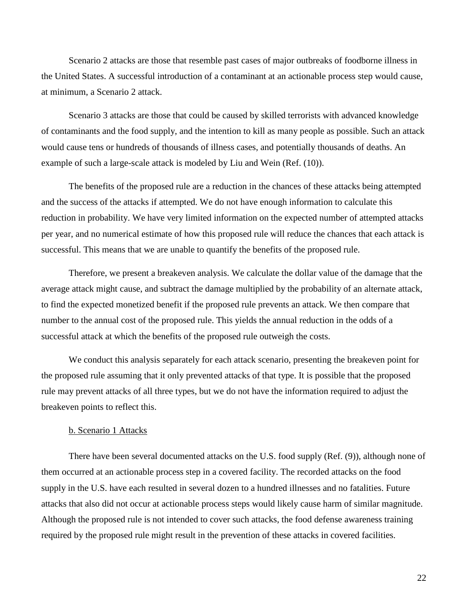Scenario 2 attacks are those that resemble past cases of major outbreaks of foodborne illness in the United States. A successful introduction of a contaminant at an actionable process step would cause, at minimum, a Scenario 2 attack.

Scenario 3 attacks are those that could be caused by skilled terrorists with advanced knowledge of contaminants and the food supply, and the intention to kill as many people as possible. Such an attack would cause tens or hundreds of thousands of illness cases, and potentially thousands of deaths. An example of such a large-scale attack is modeled by Liu and Wein (Ref. (10)).

The benefits of the proposed rule are a reduction in the chances of these attacks being attempted and the success of the attacks if attempted. We do not have enough information to calculate this reduction in probability. We have very limited information on the expected number of attempted attacks per year, and no numerical estimate of how this proposed rule will reduce the chances that each attack is successful. This means that we are unable to quantify the benefits of the proposed rule.

Therefore, we present a breakeven analysis. We calculate the dollar value of the damage that the average attack might cause, and subtract the damage multiplied by the probability of an alternate attack, to find the expected monetized benefit if the proposed rule prevents an attack. We then compare that number to the annual cost of the proposed rule. This yields the annual reduction in the odds of a successful attack at which the benefits of the proposed rule outweigh the costs.

We conduct this analysis separately for each attack scenario, presenting the breakeven point for the proposed rule assuming that it only prevented attacks of that type. It is possible that the proposed rule may prevent attacks of all three types, but we do not have the information required to adjust the breakeven points to reflect this.

#### b. Scenario 1 Attacks

<span id="page-21-0"></span>There have been several documented attacks on the U.S. food supply (Ref. (9)), although none of them occurred at an actionable process step in a covered facility. The recorded attacks on the food supply in the U.S. have each resulted in several dozen to a hundred illnesses and no fatalities. Future attacks that also did not occur at actionable process steps would likely cause harm of similar magnitude. Although the proposed rule is not intended to cover such attacks, the food defense awareness training required by the proposed rule might result in the prevention of these attacks in covered facilities.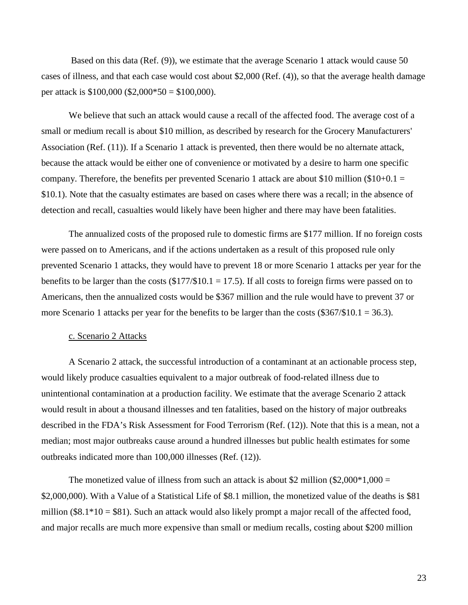Based on this data (Ref. (9)), we estimate that the average Scenario 1 attack would cause 50 cases of illness, and that each case would cost about \$2,000 (Ref. (4)), so that the average health damage per attack is  $$100,000$  (\$2,000\*50 = \$100,000).

We believe that such an attack would cause a recall of the affected food. The average cost of a small or medium recall is about \$10 million, as described by research for the Grocery Manufacturers' Association (Ref. (11)). If a Scenario 1 attack is prevented, then there would be no alternate attack, because the attack would be either one of convenience or motivated by a desire to harm one specific company. Therefore, the benefits per prevented Scenario 1 attack are about \$10 million (\$10+0.1 = \$10.1). Note that the casualty estimates are based on cases where there was a recall; in the absence of detection and recall, casualties would likely have been higher and there may have been fatalities.

The annualized costs of the proposed rule to domestic firms are \$177 million. If no foreign costs were passed on to Americans, and if the actions undertaken as a result of this proposed rule only prevented Scenario 1 attacks, they would have to prevent 18 or more Scenario 1 attacks per year for the benefits to be larger than the costs ( $$177/$10.1 = 17.5$ ). If all costs to foreign firms were passed on to Americans, then the annualized costs would be \$367 million and the rule would have to prevent 37 or more Scenario 1 attacks per year for the benefits to be larger than the costs  $(\$367/\$10.1 = 36.3$ .

#### <span id="page-22-0"></span>c. Scenario 2 Attacks

A Scenario 2 attack, the successful introduction of a contaminant at an actionable process step, would likely produce casualties equivalent to a major outbreak of food-related illness due to unintentional contamination at a production facility. We estimate that the average Scenario 2 attack would result in about a thousand illnesses and ten fatalities, based on the history of major outbreaks described in the FDA's Risk Assessment for Food Terrorism (Ref. (12)). Note that this is a mean, not a median; most major outbreaks cause around a hundred illnesses but public health estimates for some outbreaks indicated more than 100,000 illnesses (Ref. (12)).

The monetized value of illness from such an attack is about \$2 million (\$2,000 $*1,000 =$ \$2,000,000). With a Value of a Statistical Life of \$8.1 million, the monetized value of the deaths is \$81 million ( $$8.1*10 = $81$ ). Such an attack would also likely prompt a major recall of the affected food, and major recalls are much more expensive than small or medium recalls, costing about \$200 million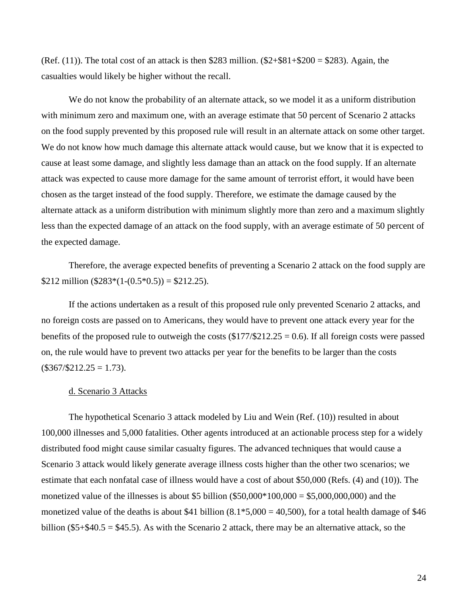(Ref.  $(11)$ ). The total cost of an attack is then \$283 million.  $(\$2+\$81+\$200 = \$283)$ . Again, the casualties would likely be higher without the recall.

We do not know the probability of an alternate attack, so we model it as a uniform distribution with minimum zero and maximum one, with an average estimate that 50 percent of Scenario 2 attacks on the food supply prevented by this proposed rule will result in an alternate attack on some other target. We do not know how much damage this alternate attack would cause, but we know that it is expected to cause at least some damage, and slightly less damage than an attack on the food supply. If an alternate attack was expected to cause more damage for the same amount of terrorist effort, it would have been chosen as the target instead of the food supply. Therefore, we estimate the damage caused by the alternate attack as a uniform distribution with minimum slightly more than zero and a maximum slightly less than the expected damage of an attack on the food supply, with an average estimate of 50 percent of the expected damage.

Therefore, the average expected benefits of preventing a Scenario 2 attack on the food supply are \$212 million (\$283\*(1-(0.5\*0.5)) = \$212.25).

If the actions undertaken as a result of this proposed rule only prevented Scenario 2 attacks, and no foreign costs are passed on to Americans, they would have to prevent one attack every year for the benefits of the proposed rule to outweigh the costs  $(\$177/\$212.25 = 0.6)$ . If all foreign costs were passed on, the rule would have to prevent two attacks per year for the benefits to be larger than the costs  $($367/\$212.25 = 1.73).$ 

#### <span id="page-23-0"></span>d. Scenario 3 Attacks

The hypothetical Scenario 3 attack modeled by Liu and Wein (Ref. (10)) resulted in about 100,000 illnesses and 5,000 fatalities. Other agents introduced at an actionable process step for a widely distributed food might cause similar casualty figures. The advanced techniques that would cause a Scenario 3 attack would likely generate average illness costs higher than the other two scenarios; we estimate that each nonfatal case of illness would have a cost of about \$50,000 (Refs. (4) and (10)). The monetized value of the illnesses is about \$5 billion  $(\$50,000*100,000 = \$5,000,000,000)$  and the monetized value of the deaths is about \$41 billion  $(8.1 * 5,000 = 40,500)$ , for a total health damage of \$46 billion (\$5+\$40.5 = \$45.5). As with the Scenario 2 attack, there may be an alternative attack, so the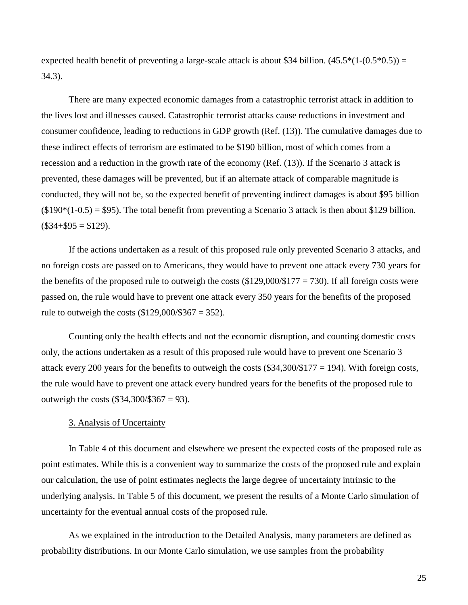expected health benefit of preventing a large-scale attack is about \$34 billion.  $(45.5*(1-(0.5*0.5)) =$ 34.3).

There are many expected economic damages from a catastrophic terrorist attack in addition to the lives lost and illnesses caused. Catastrophic terrorist attacks cause reductions in investment and consumer confidence, leading to reductions in GDP growth (Ref. (13)). The cumulative damages due to these indirect effects of terrorism are estimated to be \$190 billion, most of which comes from a recession and a reduction in the growth rate of the economy (Ref. (13)). If the Scenario 3 attack is prevented, these damages will be prevented, but if an alternate attack of comparable magnitude is conducted, they will not be, so the expected benefit of preventing indirect damages is about \$95 billion  $($190*(1-0.5) = $95)$ . The total benefit from preventing a Scenario 3 attack is then about \$129 billion.  $($34+$95 = $129).$ 

If the actions undertaken as a result of this proposed rule only prevented Scenario 3 attacks, and no foreign costs are passed on to Americans, they would have to prevent one attack every 730 years for the benefits of the proposed rule to outweigh the costs  $(\$129,000/\$177 = 730)$ . If all foreign costs were passed on, the rule would have to prevent one attack every 350 years for the benefits of the proposed rule to outweigh the costs  $(\$129,000/\$367 = 352$ ).

Counting only the health effects and not the economic disruption, and counting domestic costs only, the actions undertaken as a result of this proposed rule would have to prevent one Scenario 3 attack every 200 years for the benefits to outweigh the costs  $(\$34,300/\$177 = 194)$ . With foreign costs, the rule would have to prevent one attack every hundred years for the benefits of the proposed rule to outweigh the costs  $(\$34,300/\$367 = 93)$ .

#### 3. Analysis of Uncertainty

<span id="page-24-0"></span>In Table 4 of this document and elsewhere we present the expected costs of the proposed rule as point estimates. While this is a convenient way to summarize the costs of the proposed rule and explain our calculation, the use of point estimates neglects the large degree of uncertainty intrinsic to the underlying analysis. In Table 5 of this document, we present the results of a Monte Carlo simulation of uncertainty for the eventual annual costs of the proposed rule.

As we explained in the introduction to the Detailed Analysis, many parameters are defined as probability distributions. In our Monte Carlo simulation, we use samples from the probability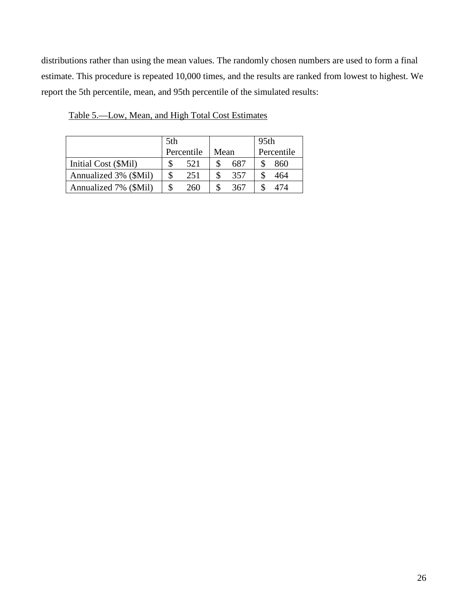distributions rather than using the mean values. The randomly chosen numbers are used to form a final estimate. This procedure is repeated 10,000 times, and the results are ranked from lowest to highest. We report the 5th percentile, mean, and 95th percentile of the simulated results:

|                       | 5th        |     |      |     | 95th |     |            |
|-----------------------|------------|-----|------|-----|------|-----|------------|
|                       | Percentile |     | Mean |     |      |     | Percentile |
| Initial Cost (\$Mil)  |            | 521 |      | 687 |      | 860 |            |
| Annualized 3% (\$Mil) |            | 251 |      | 357 |      | 464 |            |
| Annualized 7% (\$Mil) |            | 260 |      | 367 |      | '74 |            |

<span id="page-25-0"></span>Table 5.—Low, Mean, and High Total Cost Estimates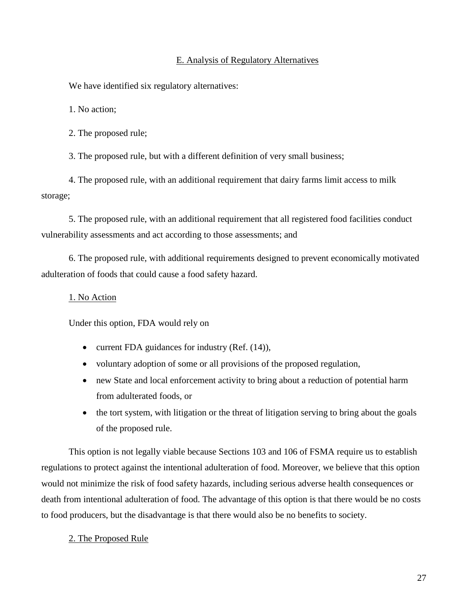#### E. Analysis of Regulatory Alternatives

<span id="page-26-0"></span>We have identified six regulatory alternatives:

1. No action;

2. The proposed rule;

3. The proposed rule, but with a different definition of very small business;

4. The proposed rule, with an additional requirement that dairy farms limit access to milk storage;

5. The proposed rule, with an additional requirement that all registered food facilities conduct vulnerability assessments and act according to those assessments; and

6. The proposed rule, with additional requirements designed to prevent economically motivated adulteration of foods that could cause a food safety hazard.

#### <span id="page-26-1"></span>1. No Action

Under this option, FDA would rely on

- current FDA guidances for industry (Ref.  $(14)$ ),
- voluntary adoption of some or all provisions of the proposed regulation,
- new State and local enforcement activity to bring about a reduction of potential harm from adulterated foods, or
- the tort system, with litigation or the threat of litigation serving to bring about the goals of the proposed rule.

This option is not legally viable because Sections 103 and 106 of FSMA require us to establish regulations to protect against the intentional adulteration of food. Moreover, we believe that this option would not minimize the risk of food safety hazards, including serious adverse health consequences or death from intentional adulteration of food. The advantage of this option is that there would be no costs to food producers, but the disadvantage is that there would also be no benefits to society.

#### <span id="page-26-2"></span>2. The Proposed Rule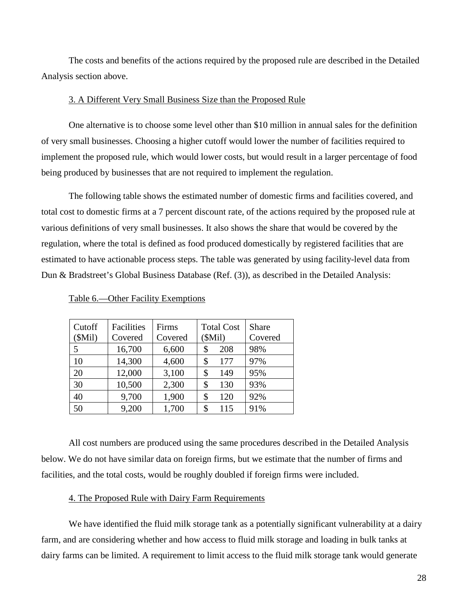The costs and benefits of the actions required by the proposed rule are described in the Detailed Analysis section above.

#### 3. A Different Very Small Business Size than the Proposed Rule

<span id="page-27-0"></span>One alternative is to choose some level other than \$10 million in annual sales for the definition of very small businesses. Choosing a higher cutoff would lower the number of facilities required to implement the proposed rule, which would lower costs, but would result in a larger percentage of food being produced by businesses that are not required to implement the regulation.

The following table shows the estimated number of domestic firms and facilities covered, and total cost to domestic firms at a 7 percent discount rate, of the actions required by the proposed rule at various definitions of very small businesses. It also shows the share that would be covered by the regulation, where the total is defined as food produced domestically by registered facilities that are estimated to have actionable process steps. The table was generated by using facility-level data from Dun & Bradstreet's Global Business Database (Ref. (3)), as described in the Detailed Analysis:

| Cutoff<br>(SMil) | Facilities<br>Covered | Firms<br>Covered | <b>Total Cost</b><br>(SMil) | <b>Share</b><br>Covered |
|------------------|-----------------------|------------------|-----------------------------|-------------------------|
| 5                | 16,700                | 6,600            | 208<br>\$                   | 98%                     |
| 10               | 14,300                | 4,600            | \$<br>177                   | 97%                     |
| 20               | 12,000                | 3,100            | \$<br>149                   | 95%                     |
| 30               | 10,500                | 2,300            | \$<br>130                   | 93%                     |
| 40               | 9,700                 | 1,900            | \$<br>120                   | 92%                     |
| 50               | 9,200                 | 1,700            | \$<br>115                   | 91%                     |

<span id="page-27-1"></span>Table 6.—Other Facility Exemptions

All cost numbers are produced using the same procedures described in the Detailed Analysis below. We do not have similar data on foreign firms, but we estimate that the number of firms and facilities, and the total costs, would be roughly doubled if foreign firms were included.

#### 4. The Proposed Rule with Dairy Farm Requirements

<span id="page-27-2"></span>We have identified the fluid milk storage tank as a potentially significant vulnerability at a dairy farm, and are considering whether and how access to fluid milk storage and loading in bulk tanks at dairy farms can be limited. A requirement to limit access to the fluid milk storage tank would generate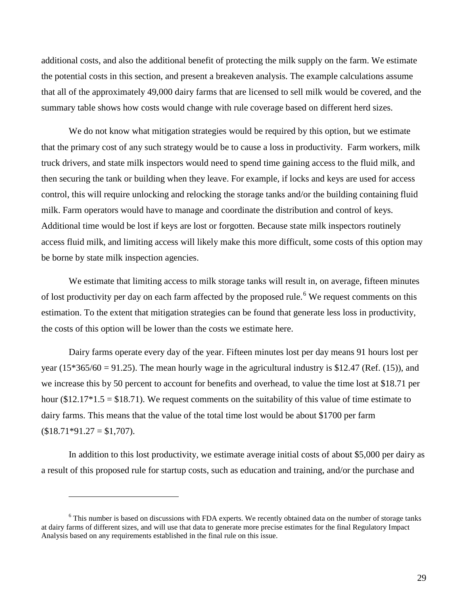additional costs, and also the additional benefit of protecting the milk supply on the farm. We estimate the potential costs in this section, and present a breakeven analysis. The example calculations assume that all of the approximately 49,000 dairy farms that are licensed to sell milk would be covered, and the summary table shows how costs would change with rule coverage based on different herd sizes.

We do not know what mitigation strategies would be required by this option, but we estimate that the primary cost of any such strategy would be to cause a loss in productivity. Farm workers, milk truck drivers, and state milk inspectors would need to spend time gaining access to the fluid milk, and then securing the tank or building when they leave. For example, if locks and keys are used for access control, this will require unlocking and relocking the storage tanks and/or the building containing fluid milk. Farm operators would have to manage and coordinate the distribution and control of keys. Additional time would be lost if keys are lost or forgotten. Because state milk inspectors routinely access fluid milk, and limiting access will likely make this more difficult, some costs of this option may be borne by state milk inspection agencies.

We estimate that limiting access to milk storage tanks will result in, on average, fifteen minutes of lost productivity per day on each farm affected by the proposed rule.<sup>[6](#page-28-0)</sup> We request comments on this estimation. To the extent that mitigation strategies can be found that generate less loss in productivity, the costs of this option will be lower than the costs we estimate here.

Dairy farms operate every day of the year. Fifteen minutes lost per day means 91 hours lost per year (15 $*365/60 = 91.25$ ). The mean hourly wage in the agricultural industry is \$12.47 (Ref. (15)), and we increase this by 50 percent to account for benefits and overhead, to value the time lost at \$18.71 per hour (\$12.17 $*1.5 = $18.71$ ). We request comments on the suitability of this value of time estimate to dairy farms. This means that the value of the total time lost would be about \$1700 per farm  $$18.71*91.27 = $1,707$ .

In addition to this lost productivity, we estimate average initial costs of about \$5,000 per dairy as a result of this proposed rule for startup costs, such as education and training, and/or the purchase and

 $\overline{a}$ 

<span id="page-28-0"></span><sup>&</sup>lt;sup>6</sup> This number is based on discussions with FDA experts. We recently obtained data on the number of storage tanks at dairy farms of different sizes, and will use that data to generate more precise estimates for the final Regulatory Impact Analysis based on any requirements established in the final rule on this issue.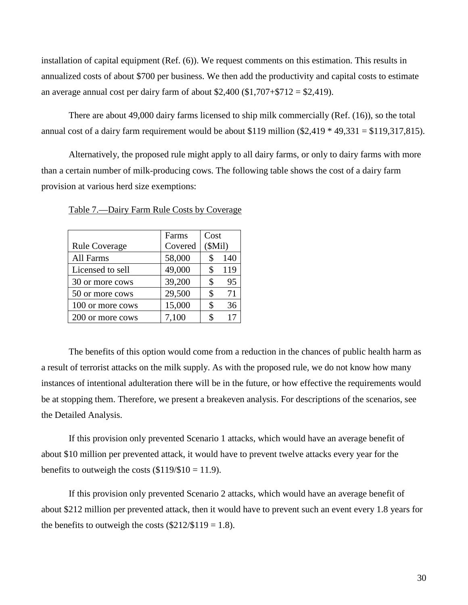installation of capital equipment (Ref. (6)). We request comments on this estimation. This results in annualized costs of about \$700 per business. We then add the productivity and capital costs to estimate an average annual cost per dairy farm of about \$2,400 (\$1,707+\$712 = \$2,419).

There are about 49,000 dairy farms licensed to ship milk commercially (Ref. (16)), so the total annual cost of a dairy farm requirement would be about \$119 million  $(\$2,419 * 49,331 = \$119,317,815)$ .

Alternatively, the proposed rule might apply to all dairy farms, or only to dairy farms with more than a certain number of milk-producing cows. The following table shows the cost of a dairy farm provision at various herd size exemptions:

|                      | Farms   | Cost   |     |
|----------------------|---------|--------|-----|
| <b>Rule Coverage</b> | Covered | (SMil) |     |
| All Farms            | 58,000  | \$     | 140 |
| Licensed to sell     | 49,000  | \$     | 119 |
| 30 or more cows      | 39,200  | \$     | 95  |
| 50 or more cows      | 29,500  | \$     | 71  |
| 100 or more cows     | 15,000  | \$     | 36  |
| 200 or more cows     | 7,100   | S      | 17  |

<span id="page-29-0"></span>Table 7.—Dairy Farm Rule Costs by Coverage

The benefits of this option would come from a reduction in the chances of public health harm as a result of terrorist attacks on the milk supply. As with the proposed rule, we do not know how many instances of intentional adulteration there will be in the future, or how effective the requirements would be at stopping them. Therefore, we present a breakeven analysis. For descriptions of the scenarios, see the Detailed Analysis.

If this provision only prevented Scenario 1 attacks, which would have an average benefit of about \$10 million per prevented attack, it would have to prevent twelve attacks every year for the benefits to outweigh the costs  $(\$119/\$10 = 11.9)$ .

If this provision only prevented Scenario 2 attacks, which would have an average benefit of about \$212 million per prevented attack, then it would have to prevent such an event every 1.8 years for the benefits to outweigh the costs  $(\$212/\$119 = 1.8)$ .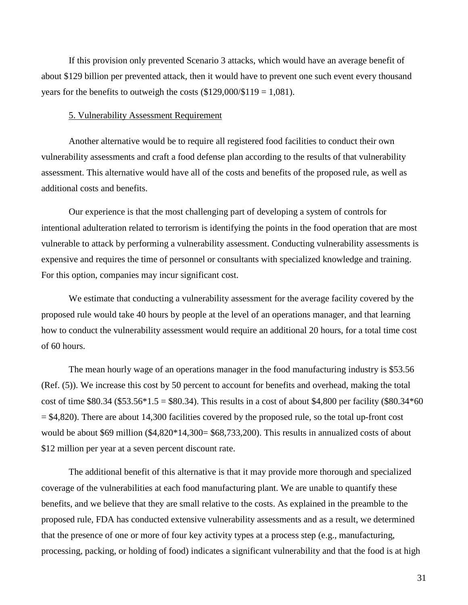If this provision only prevented Scenario 3 attacks, which would have an average benefit of about \$129 billion per prevented attack, then it would have to prevent one such event every thousand years for the benefits to outweigh the costs  $(\$129,000/\$119 = 1,081)$ .

#### 5. Vulnerability Assessment Requirement

<span id="page-30-0"></span>Another alternative would be to require all registered food facilities to conduct their own vulnerability assessments and craft a food defense plan according to the results of that vulnerability assessment. This alternative would have all of the costs and benefits of the proposed rule, as well as additional costs and benefits.

Our experience is that the most challenging part of developing a system of controls for intentional adulteration related to terrorism is identifying the points in the food operation that are most vulnerable to attack by performing a vulnerability assessment. Conducting vulnerability assessments is expensive and requires the time of personnel or consultants with specialized knowledge and training. For this option, companies may incur significant cost.

We estimate that conducting a vulnerability assessment for the average facility covered by the proposed rule would take 40 hours by people at the level of an operations manager, and that learning how to conduct the vulnerability assessment would require an additional 20 hours, for a total time cost of 60 hours.

The mean hourly wage of an operations manager in the food manufacturing industry is \$53.56 (Ref. (5)). We increase this cost by 50 percent to account for benefits and overhead, making the total cost of time \$80.34 (\$53.56\*1.5 = \$80.34). This results in a cost of about \$4,800 per facility (\$80.34\*60)  $=$  \$4,820). There are about 14,300 facilities covered by the proposed rule, so the total up-front cost would be about \$69 million (\$4,820\*14,300= \$68,733,200). This results in annualized costs of about \$12 million per year at a seven percent discount rate.

The additional benefit of this alternative is that it may provide more thorough and specialized coverage of the vulnerabilities at each food manufacturing plant. We are unable to quantify these benefits, and we believe that they are small relative to the costs. As explained in the preamble to the proposed rule, FDA has conducted extensive vulnerability assessments and as a result, we determined that the presence of one or more of four key activity types at a process step (e.g., manufacturing, processing, packing, or holding of food) indicates a significant vulnerability and that the food is at high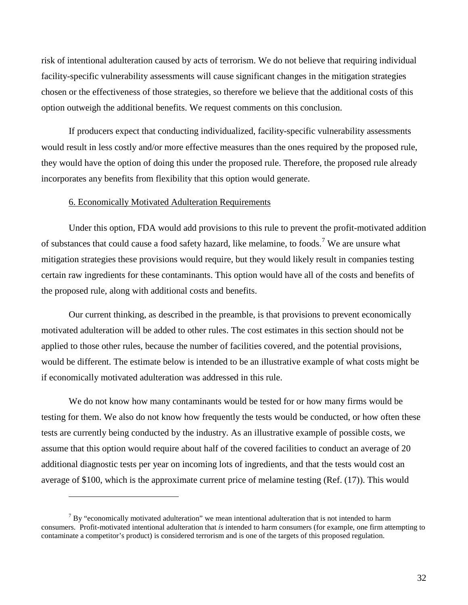risk of intentional adulteration caused by acts of terrorism. We do not believe that requiring individual facility-specific vulnerability assessments will cause significant changes in the mitigation strategies chosen or the effectiveness of those strategies, so therefore we believe that the additional costs of this option outweigh the additional benefits. We request comments on this conclusion.

If producers expect that conducting individualized, facility-specific vulnerability assessments would result in less costly and/or more effective measures than the ones required by the proposed rule, they would have the option of doing this under the proposed rule. Therefore, the proposed rule already incorporates any benefits from flexibility that this option would generate.

#### 6. Economically Motivated Adulteration Requirements

 $\overline{a}$ 

<span id="page-31-0"></span>Under this option, FDA would add provisions to this rule to prevent the profit-motivated addition of substances that could cause a food safety hazard, like melamine, to foods.[7](#page-31-1) We are unsure what mitigation strategies these provisions would require, but they would likely result in companies testing certain raw ingredients for these contaminants. This option would have all of the costs and benefits of the proposed rule, along with additional costs and benefits.

Our current thinking, as described in the preamble, is that provisions to prevent economically motivated adulteration will be added to other rules. The cost estimates in this section should not be applied to those other rules, because the number of facilities covered, and the potential provisions, would be different. The estimate below is intended to be an illustrative example of what costs might be if economically motivated adulteration was addressed in this rule.

We do not know how many contaminants would be tested for or how many firms would be testing for them. We also do not know how frequently the tests would be conducted, or how often these tests are currently being conducted by the industry. As an illustrative example of possible costs, we assume that this option would require about half of the covered facilities to conduct an average of 20 additional diagnostic tests per year on incoming lots of ingredients, and that the tests would cost an average of \$100, which is the approximate current price of melamine testing (Ref. (17)). This would

<span id="page-31-1"></span> $<sup>7</sup>$  By "economically motivated adulteration" we mean intentional adulteration that is not intended to harm</sup> consumers. Profit-motivated intentional adulteration that *is* intended to harm consumers (for example, one firm attempting to contaminate a competitor's product) is considered terrorism and is one of the targets of this proposed regulation.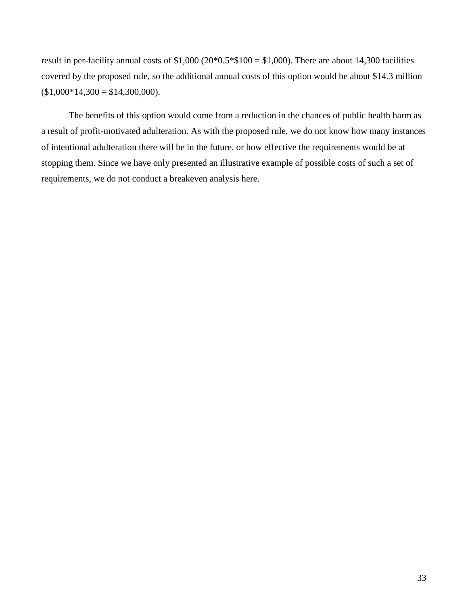result in per-facility annual costs of  $$1,000 (20*0.5*$100 = $1,000)$ . There are about 14,300 facilities covered by the proposed rule, so the additional annual costs of this option would be about \$14.3 million  $$1,000*14,300 = $14,300,000$ .

The benefits of this option would come from a reduction in the chances of public health harm as a result of profit-motivated adulteration. As with the proposed rule, we do not know how many instances of intentional adulteration there will be in the future, or how effective the requirements would be at stopping them. Since we have only presented an illustrative example of possible costs of such a set of requirements, we do not conduct a breakeven analysis here.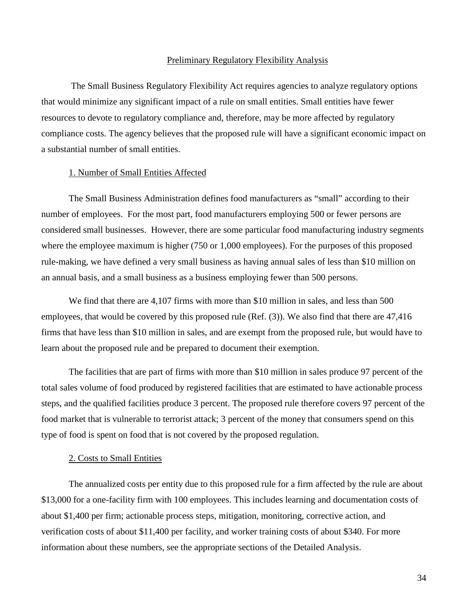#### Preliminary Regulatory Flexibility Analysis

<span id="page-33-0"></span>The Small Business Regulatory Flexibility Act requires agencies to analyze regulatory options that would minimize any significant impact of a rule on small entities. Small entities have fewer resources to devote to regulatory compliance and, therefore, may be more affected by regulatory compliance costs. The agency believes that the proposed rule will have a significant economic impact on a substantial number of small entities.

#### 1. Number of Small Entities Affected

<span id="page-33-1"></span>The Small Business Administration defines food manufacturers as "small" according to their number of employees. For the most part, food manufacturers employing 500 or fewer persons are considered small businesses. However, there are some particular food manufacturing industry segments where the employee maximum is higher (750 or 1,000 employees). For the purposes of this proposed rule-making, we have defined a very small business as having annual sales of less than \$10 million on an annual basis, and a small business as a business employing fewer than 500 persons.

We find that there are 4,107 firms with more than \$10 million in sales, and less than 500 employees, that would be covered by this proposed rule (Ref. (3)). We also find that there are 47,416 firms that have less than \$10 million in sales, and are exempt from the proposed rule, but would have to learn about the proposed rule and be prepared to document their exemption.

The facilities that are part of firms with more than \$10 million in sales produce 97 percent of the total sales volume of food produced by registered facilities that are estimated to have actionable process steps, and the qualified facilities produce 3 percent. The proposed rule therefore covers 97 percent of the food market that is vulnerable to terrorist attack; 3 percent of the money that consumers spend on this type of food is spent on food that is not covered by the proposed regulation.

#### 2. Costs to Small Entities

<span id="page-33-2"></span>The annualized costs per entity due to this proposed rule for a firm affected by the rule are about \$13,000 for a one-facility firm with 100 employees. This includes learning and documentation costs of about \$1,400 per firm; actionable process steps, mitigation, monitoring, corrective action, and verification costs of about \$11,400 per facility, and worker training costs of about \$340. For more information about these numbers, see the appropriate sections of the Detailed Analysis.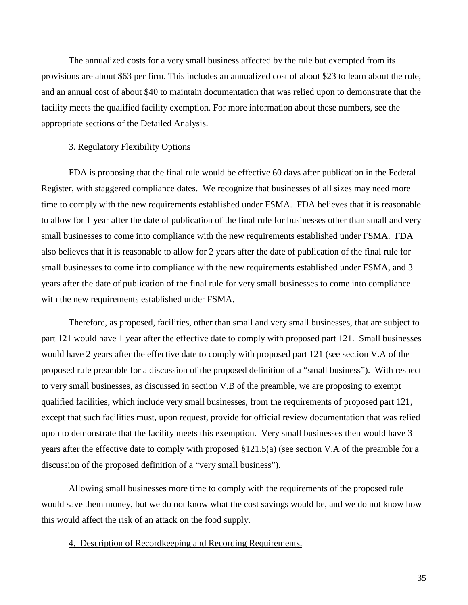The annualized costs for a very small business affected by the rule but exempted from its provisions are about \$63 per firm. This includes an annualized cost of about \$23 to learn about the rule, and an annual cost of about \$40 to maintain documentation that was relied upon to demonstrate that the facility meets the qualified facility exemption. For more information about these numbers, see the appropriate sections of the Detailed Analysis.

#### 3. Regulatory Flexibility Options

<span id="page-34-0"></span>FDA is proposing that the final rule would be effective 60 days after publication in the Federal Register, with staggered compliance dates. We recognize that businesses of all sizes may need more time to comply with the new requirements established under FSMA. FDA believes that it is reasonable to allow for 1 year after the date of publication of the final rule for businesses other than small and very small businesses to come into compliance with the new requirements established under FSMA. FDA also believes that it is reasonable to allow for 2 years after the date of publication of the final rule for small businesses to come into compliance with the new requirements established under FSMA, and 3 years after the date of publication of the final rule for very small businesses to come into compliance with the new requirements established under FSMA.

Therefore, as proposed, facilities, other than small and very small businesses, that are subject to part 121 would have 1 year after the effective date to comply with proposed part 121. Small businesses would have 2 years after the effective date to comply with proposed part 121 (see section V.A of the proposed rule preamble for a discussion of the proposed definition of a "small business"). With respect to very small businesses, as discussed in section V.B of the preamble, we are proposing to exempt qualified facilities, which include very small businesses, from the requirements of proposed part 121, except that such facilities must, upon request, provide for official review documentation that was relied upon to demonstrate that the facility meets this exemption. Very small businesses then would have 3 years after the effective date to comply with proposed §121.5(a) (see section V.A of the preamble for a discussion of the proposed definition of a "very small business").

Allowing small businesses more time to comply with the requirements of the proposed rule would save them money, but we do not know what the cost savings would be, and we do not know how this would affect the risk of an attack on the food supply.

<span id="page-34-1"></span>4. Description of Recordkeeping and Recording Requirements.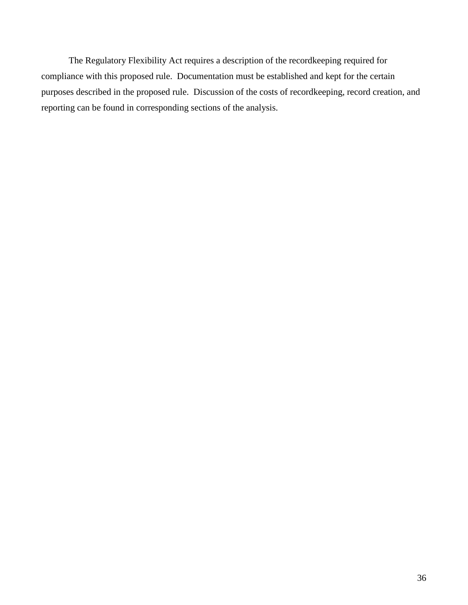The Regulatory Flexibility Act requires a description of the recordkeeping required for compliance with this proposed rule. Documentation must be established and kept for the certain purposes described in the proposed rule. Discussion of the costs of recordkeeping, record creation, and reporting can be found in corresponding sections of the analysis.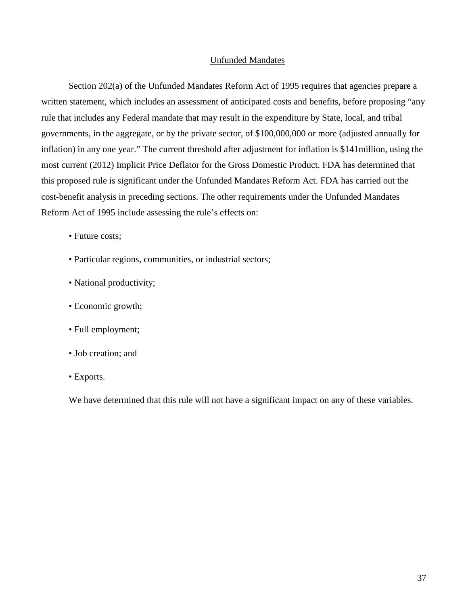#### Unfunded Mandates

<span id="page-36-0"></span>Section 202(a) of the Unfunded Mandates Reform Act of 1995 requires that agencies prepare a written statement, which includes an assessment of anticipated costs and benefits, before proposing "any rule that includes any Federal mandate that may result in the expenditure by State, local, and tribal governments, in the aggregate, or by the private sector, of \$100,000,000 or more (adjusted annually for inflation) in any one year." The current threshold after adjustment for inflation is \$141million, using the most current (2012) Implicit Price Deflator for the Gross Domestic Product. FDA has determined that this proposed rule is significant under the Unfunded Mandates Reform Act. FDA has carried out the cost-benefit analysis in preceding sections. The other requirements under the Unfunded Mandates Reform Act of 1995 include assessing the rule's effects on:

- Future costs;
- Particular regions, communities, or industrial sectors;
- National productivity;
- Economic growth;
- Full employment;
- Job creation; and
- Exports.

We have determined that this rule will not have a significant impact on any of these variables.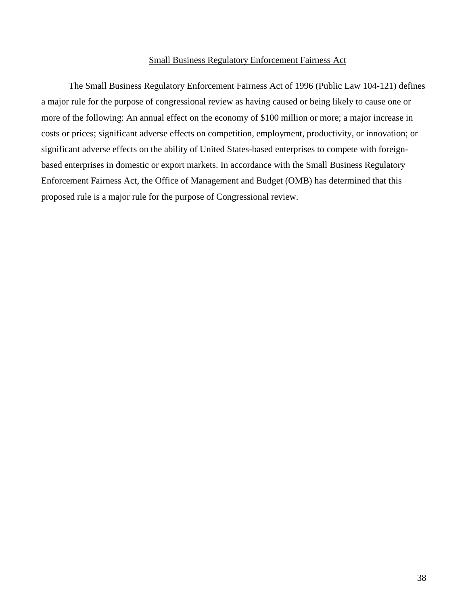#### Small Business Regulatory Enforcement Fairness Act

<span id="page-37-0"></span>The Small Business Regulatory Enforcement Fairness Act of 1996 (Public Law 104-121) defines a major rule for the purpose of congressional review as having caused or being likely to cause one or more of the following: An annual effect on the economy of \$100 million or more; a major increase in costs or prices; significant adverse effects on competition, employment, productivity, or innovation; or significant adverse effects on the ability of United States-based enterprises to compete with foreignbased enterprises in domestic or export markets. In accordance with the Small Business Regulatory Enforcement Fairness Act, the Office of Management and Budget (OMB) has determined that this proposed rule is a major rule for the purpose of Congressional review.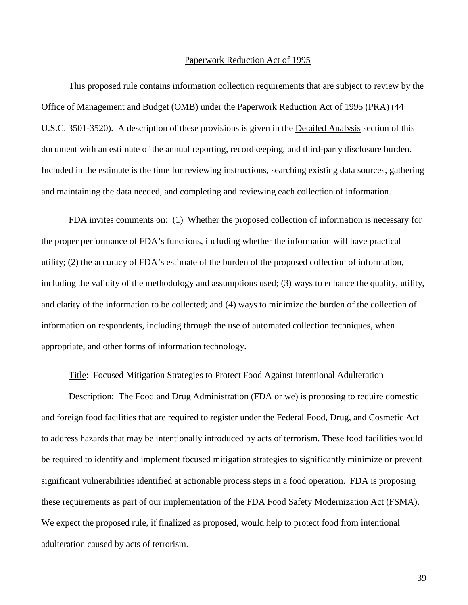#### Paperwork Reduction Act of 1995

<span id="page-38-0"></span>This proposed rule contains information collection requirements that are subject to review by the Office of Management and Budget (OMB) under the Paperwork Reduction Act of 1995 (PRA) (44 U.S.C. 3501-3520). A description of these provisions is given in the Detailed Analysis section of this document with an estimate of the annual reporting, recordkeeping, and third-party disclosure burden. Included in the estimate is the time for reviewing instructions, searching existing data sources, gathering and maintaining the data needed, and completing and reviewing each collection of information.

FDA invites comments on: (1) Whether the proposed collection of information is necessary for the proper performance of FDA's functions, including whether the information will have practical utility; (2) the accuracy of FDA's estimate of the burden of the proposed collection of information, including the validity of the methodology and assumptions used; (3) ways to enhance the quality, utility, and clarity of the information to be collected; and (4) ways to minimize the burden of the collection of information on respondents, including through the use of automated collection techniques, when appropriate, and other forms of information technology.

Title: Focused Mitigation Strategies to Protect Food Against Intentional Adulteration

Description: The Food and Drug Administration (FDA or we) is proposing to require domestic and foreign food facilities that are required to register under the Federal Food, Drug, and Cosmetic Act to address hazards that may be intentionally introduced by acts of terrorism. These food facilities would be required to identify and implement focused mitigation strategies to significantly minimize or prevent significant vulnerabilities identified at actionable process steps in a food operation. FDA is proposing these requirements as part of our implementation of the FDA Food Safety Modernization Act (FSMA). We expect the proposed rule, if finalized as proposed, would help to protect food from intentional adulteration caused by acts of terrorism.

39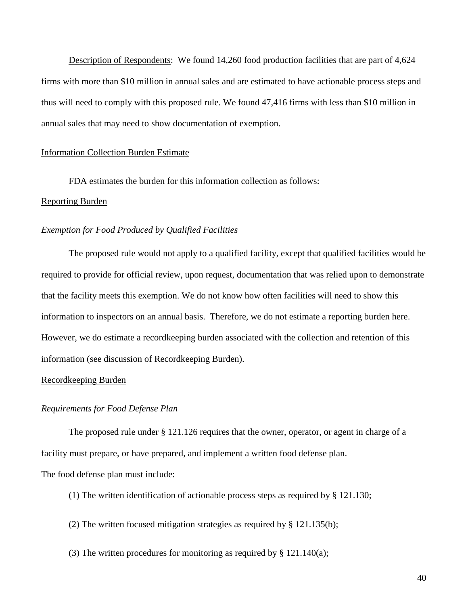Description of Respondents: We found 14,260 food production facilities that are part of 4,624 firms with more than \$10 million in annual sales and are estimated to have actionable process steps and thus will need to comply with this proposed rule. We found 47,416 firms with less than \$10 million in annual sales that may need to show documentation of exemption.

#### Information Collection Burden Estimate

FDA estimates the burden for this information collection as follows: Reporting Burden

#### *Exemption for Food Produced by Qualified Facilities*

The proposed rule would not apply to a qualified facility, except that qualified facilities would be required to provide for official review, upon request, documentation that was relied upon to demonstrate that the facility meets this exemption. We do not know how often facilities will need to show this information to inspectors on an annual basis. Therefore, we do not estimate a reporting burden here. However, we do estimate a recordkeeping burden associated with the collection and retention of this information (see discussion of Recordkeeping Burden).

#### Recordkeeping Burden

#### *Requirements for Food Defense Plan*

The proposed rule under § 121.126 requires that the owner, operator, or agent in charge of a facility must prepare, or have prepared, and implement a written food defense plan.

The food defense plan must include:

- (1) The written identification of actionable process steps as required by § 121.130;
- (2) The written focused mitigation strategies as required by § 121.135(b);
- (3) The written procedures for monitoring as required by § 121.140(a);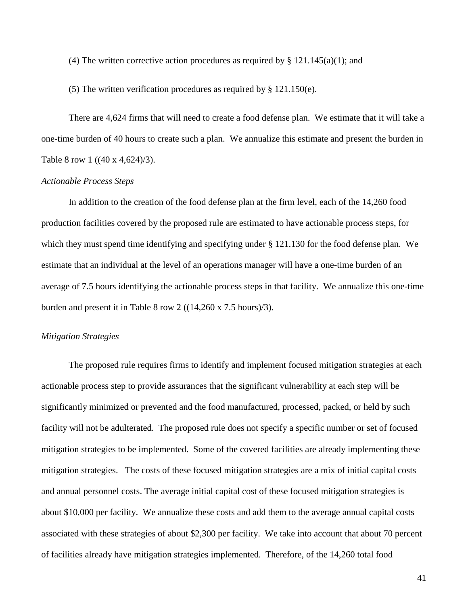(4) The written corrective action procedures as required by  $\S 121.145(a)(1)$ ; and

(5) The written verification procedures as required by § 121.150(e).

There are 4,624 firms that will need to create a food defense plan. We estimate that it will take a one-time burden of 40 hours to create such a plan. We annualize this estimate and present the burden in Table 8 row 1 ((40 x 4,624)/3).

#### *Actionable Process Steps*

In addition to the creation of the food defense plan at the firm level, each of the 14,260 food production facilities covered by the proposed rule are estimated to have actionable process steps, for which they must spend time identifying and specifying under  $\S$  121.130 for the food defense plan. We estimate that an individual at the level of an operations manager will have a one-time burden of an average of 7.5 hours identifying the actionable process steps in that facility. We annualize this one-time burden and present it in Table 8 row 2 ((14,260 x 7.5 hours)/3).

#### *Mitigation Strategies*

The proposed rule requires firms to identify and implement focused mitigation strategies at each actionable process step to provide assurances that the significant vulnerability at each step will be significantly minimized or prevented and the food manufactured, processed, packed, or held by such facility will not be adulterated. The proposed rule does not specify a specific number or set of focused mitigation strategies to be implemented. Some of the covered facilities are already implementing these mitigation strategies. The costs of these focused mitigation strategies are a mix of initial capital costs and annual personnel costs. The average initial capital cost of these focused mitigation strategies is about \$10,000 per facility. We annualize these costs and add them to the average annual capital costs associated with these strategies of about \$2,300 per facility. We take into account that about 70 percent of facilities already have mitigation strategies implemented. Therefore, of the 14,260 total food

41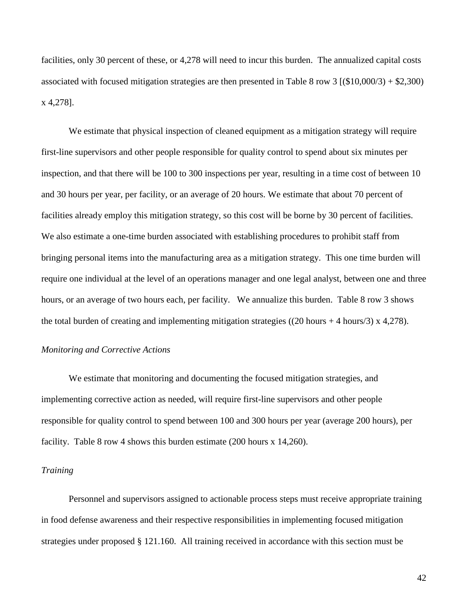facilities, only 30 percent of these, or 4,278 will need to incur this burden. The annualized capital costs associated with focused mitigation strategies are then presented in Table 8 row 3  $(10,000/3) + 2,300$ x 4,278].

We estimate that physical inspection of cleaned equipment as a mitigation strategy will require first-line supervisors and other people responsible for quality control to spend about six minutes per inspection, and that there will be 100 to 300 inspections per year, resulting in a time cost of between 10 and 30 hours per year, per facility, or an average of 20 hours. We estimate that about 70 percent of facilities already employ this mitigation strategy, so this cost will be borne by 30 percent of facilities. We also estimate a one-time burden associated with establishing procedures to prohibit staff from bringing personal items into the manufacturing area as a mitigation strategy. This one time burden will require one individual at the level of an operations manager and one legal analyst, between one and three hours, or an average of two hours each, per facility. We annualize this burden. Table 8 row 3 shows the total burden of creating and implementing mitigation strategies ((20 hours + 4 hours/3) x 4,278).

#### *Monitoring and Corrective Actions*

We estimate that monitoring and documenting the focused mitigation strategies, and implementing corrective action as needed, will require first-line supervisors and other people responsible for quality control to spend between 100 and 300 hours per year (average 200 hours), per facility. Table 8 row 4 shows this burden estimate (200 hours x 14,260).

#### *Training*

Personnel and supervisors assigned to actionable process steps must receive appropriate training in food defense awareness and their respective responsibilities in implementing focused mitigation strategies under proposed § 121.160. All training received in accordance with this section must be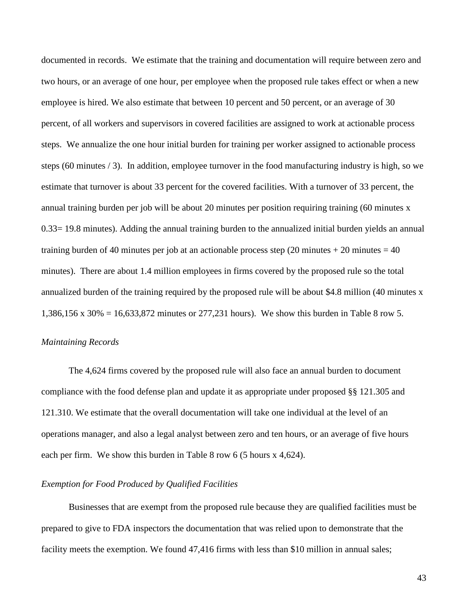documented in records. We estimate that the training and documentation will require between zero and two hours, or an average of one hour, per employee when the proposed rule takes effect or when a new employee is hired. We also estimate that between 10 percent and 50 percent, or an average of 30 percent, of all workers and supervisors in covered facilities are assigned to work at actionable process steps. We annualize the one hour initial burden for training per worker assigned to actionable process steps (60 minutes / 3). In addition, employee turnover in the food manufacturing industry is high, so we estimate that turnover is about 33 percent for the covered facilities. With a turnover of 33 percent, the annual training burden per job will be about 20 minutes per position requiring training (60 minutes x 0.33= 19.8 minutes). Adding the annual training burden to the annualized initial burden yields an annual training burden of 40 minutes per job at an actionable process step (20 minutes  $+ 20$  minutes  $= 40$ ) minutes). There are about 1.4 million employees in firms covered by the proposed rule so the total annualized burden of the training required by the proposed rule will be about \$4.8 million (40 minutes x 1,386,156 x 30% = 16,633,872 minutes or 277,231 hours). We show this burden in Table 8 row 5.

#### *Maintaining Records*

The 4,624 firms covered by the proposed rule will also face an annual burden to document compliance with the food defense plan and update it as appropriate under proposed §§ 121.305 and 121.310. We estimate that the overall documentation will take one individual at the level of an operations manager, and also a legal analyst between zero and ten hours, or an average of five hours each per firm. We show this burden in Table 8 row 6 (5 hours x 4,624).

#### *Exemption for Food Produced by Qualified Facilities*

Businesses that are exempt from the proposed rule because they are qualified facilities must be prepared to give to FDA inspectors the documentation that was relied upon to demonstrate that the facility meets the exemption. We found 47,416 firms with less than \$10 million in annual sales;

43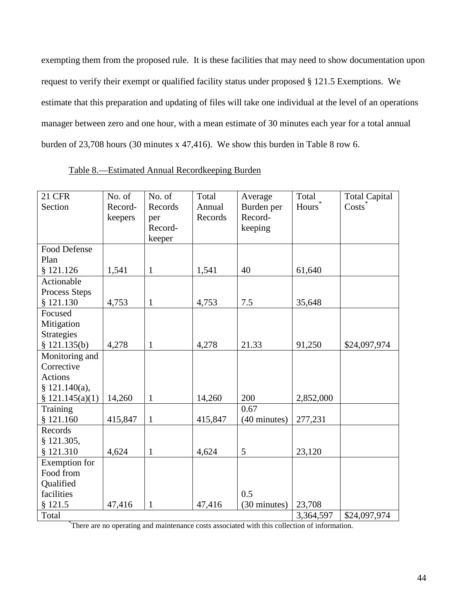exempting them from the proposed rule. It is these facilities that may need to show documentation upon request to verify their exempt or qualified facility status under proposed § 121.5 Exemptions. We estimate that this preparation and updating of files will take one individual at the level of an operations manager between zero and one hour, with a mean estimate of 30 minutes each year for a total annual burden of 23,708 hours (30 minutes x 47,416). We show this burden in Table 8 row 6.

<span id="page-43-0"></span>

| 21 CFR              | No. of  | No. of       | Total   | Average      | Total              | <b>Total Capital</b> |
|---------------------|---------|--------------|---------|--------------|--------------------|----------------------|
| Section             | Record- | Records      | Annual  | Burden per   | Hours <sup>®</sup> | $\text{Costs}^*$     |
|                     | keepers | per          | Records | Record-      |                    |                      |
|                     |         | Record-      |         | keeping      |                    |                      |
|                     |         | keeper       |         |              |                    |                      |
| <b>Food Defense</b> |         |              |         |              |                    |                      |
| Plan                |         |              |         |              |                    |                      |
| \$121.126           | 1,541   | $\mathbf{1}$ | 1,541   | 40           | 61,640             |                      |
| Actionable          |         |              |         |              |                    |                      |
| Process Steps       |         |              |         |              |                    |                      |
| \$121.130           | 4,753   | $\mathbf{1}$ | 4,753   | 7.5          | 35,648             |                      |
| Focused             |         |              |         |              |                    |                      |
| Mitigation          |         |              |         |              |                    |                      |
| Strategies          |         |              |         |              |                    |                      |
| \$121.135(b)        | 4,278   | $\mathbf{1}$ | 4,278   | 21.33        | 91,250             | \$24,097,974         |
| Monitoring and      |         |              |         |              |                    |                      |
| Corrective          |         |              |         |              |                    |                      |
| <b>Actions</b>      |         |              |         |              |                    |                      |
| § $121.140(a)$ ,    |         |              |         |              |                    |                      |
| \$121.145(a)(1)     | 14,260  | $\mathbf{1}$ | 14,260  | 200          | 2,852,000          |                      |
| Training            |         |              |         | 0.67         |                    |                      |
| \$121.160           | 415,847 | $\mathbf{1}$ | 415,847 | (40 minutes) | 277,231            |                      |
| Records             |         |              |         |              |                    |                      |
| $§$ 121.305,        |         |              |         |              |                    |                      |
| § 121.310           | 4,624   | $\mathbf{1}$ | 4,624   | 5            | 23,120             |                      |
| Exemption for       |         |              |         |              |                    |                      |
| Food from           |         |              |         |              |                    |                      |
| Qualified           |         |              |         |              |                    |                      |
| facilities          |         |              |         | 0.5          |                    |                      |
| § 121.5             | 47,416  | $\mathbf{1}$ | 47,416  | (30 minutes) | 23,708             |                      |
| Total               |         |              |         |              | 3,364,597          | \$24,097,974         |

| Table 8.—Estimated Annual Recordkeeping Burden |  |  |
|------------------------------------------------|--|--|
|                                                |  |  |

\* There are no operating and maintenance costs associated with this collection of information.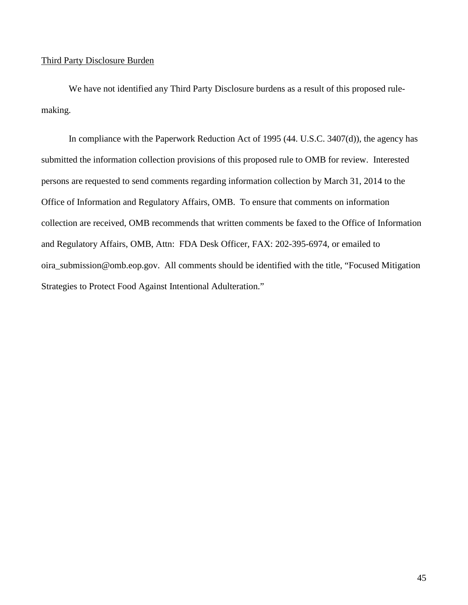#### Third Party Disclosure Burden

We have not identified any Third Party Disclosure burdens as a result of this proposed rulemaking.

In compliance with the Paperwork Reduction Act of 1995 (44. U.S.C. 3407(d)), the agency has submitted the information collection provisions of this proposed rule to OMB for review. Interested persons are requested to send comments regarding information collection by March 31, 2014 to the Office of Information and Regulatory Affairs, OMB. To ensure that comments on information collection are received, OMB recommends that written comments be faxed to the Office of Information and Regulatory Affairs, OMB, Attn: FDA Desk Officer, FAX: 202-395-6974, or emailed to [oira\\_submission@omb.eop.gov.](mailto:oira_submission@omb.eop.gov) All comments should be identified with the title, "Focused Mitigation Strategies to Protect Food Against Intentional Adulteration."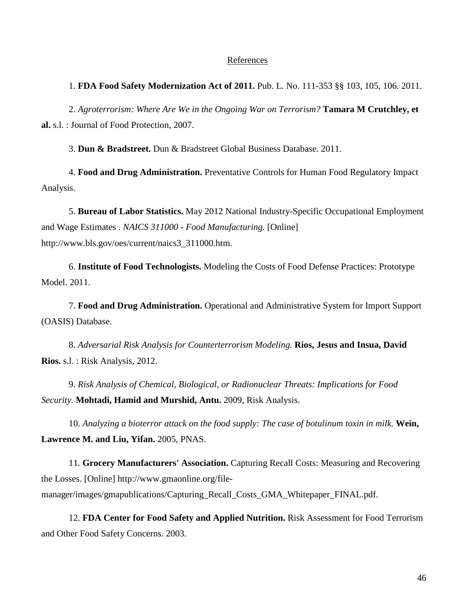#### References

#### <span id="page-45-0"></span>1. **FDA Food Safety Modernization Act of 2011.** Pub. L. No. 111-353 §§ 103, 105, 106. 2011.

2. *Agroterrorism: Where Are We in the Ongoing War on Terrorism?* **Tamara M Crutchley, et al.** s.l. : Journal of Food Protection, 2007.

3. **Dun & Bradstreet.** Dun & Bradstreet Global Business Database. 2011.

4. **Food and Drug Administration.** Preventative Controls for Human Food Regulatory Impact Analysis.

5. **Bureau of Labor Statistics.** May 2012 National Industry-Specific Occupational Employment and Wage Estimates . *NAICS 311000 - Food Manufacturing.* [Online] http://www.bls.gov/oes/current/naics3\_311000.htm.

6. **Institute of Food Technologists.** Modeling the Costs of Food Defense Practices: Prototype Model. 2011.

7. **Food and Drug Administration.** Operational and Administrative System for Import Support (OASIS) Database.

8. *Adversarial Risk Analysis for Counterterrorism Modeling.* **Rios, Jesus and Insua, David Rios.** s.l. : Risk Analysis, 2012.

9. *Risk Analysis of Chemical, Biological, or Radionuclear Threats: Implications for Food Security.* **Mohtadi, Hamid and Murshid, Antu.** 2009, Risk Analysis.

10. *Analyzing a bioterror attack on the food supply: The case of botulinum toxin in milk.* **Wein, Lawrence M. and Liu, Yifan.** 2005, PNAS.

11. **Grocery Manufacturers' Association.** Capturing Recall Costs: Measuring and Recovering the Losses. [Online] http://www.gmaonline.org/filemanager/images/gmapublications/Capturing\_Recall\_Costs\_GMA\_Whitepaper\_FINAL.pdf.

12. **FDA Center for Food Safety and Applied Nutrition.** Risk Assessment for Food Terrorism and Other Food Safety Concerns. 2003.